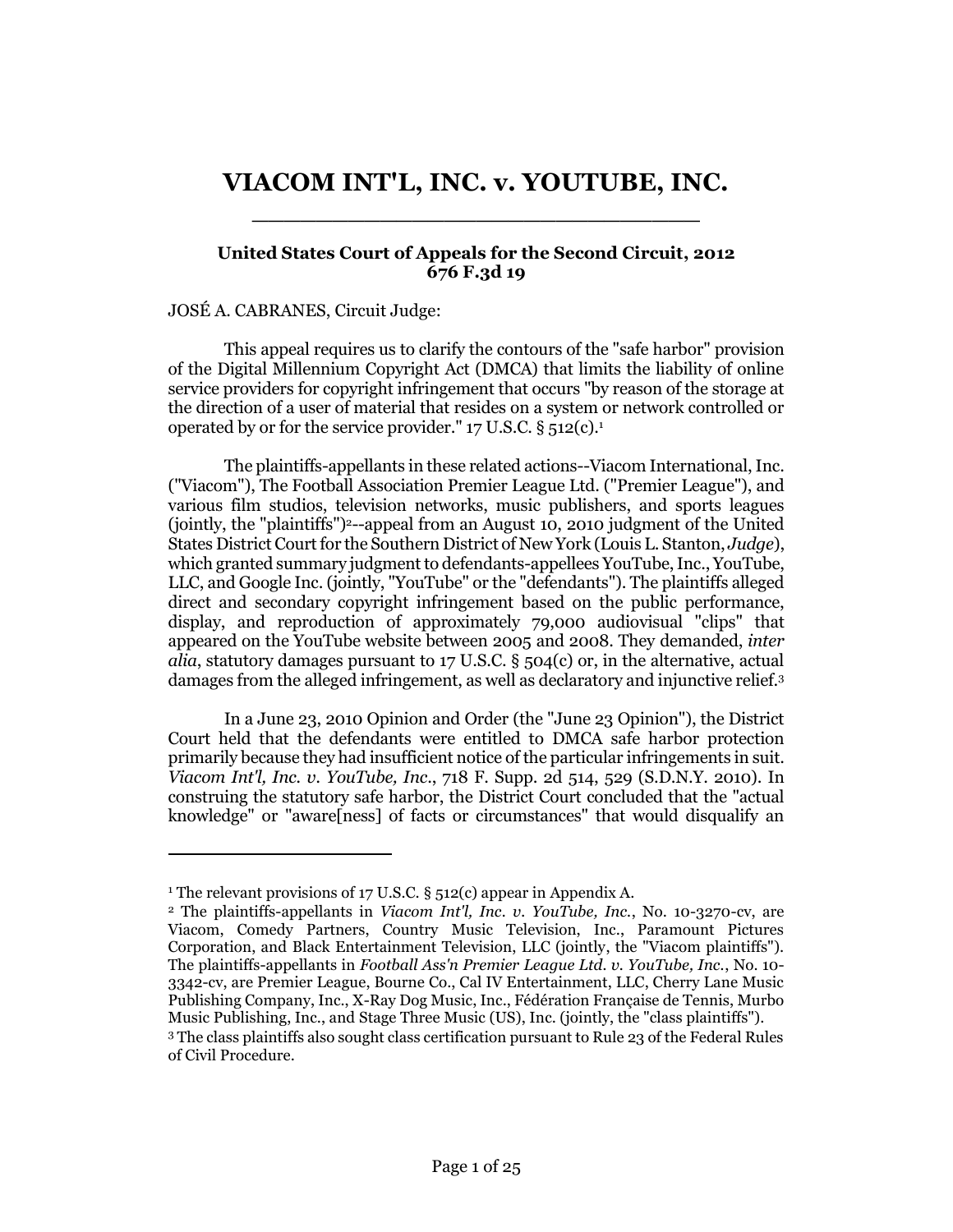# **VIACOM INT'L, INC. v. YOUTUBE, INC.** \_\_\_\_\_\_\_\_\_\_\_\_\_\_\_\_\_\_\_\_\_\_\_\_\_\_\_\_

## **United States Court of Appeals for the Second Circuit, 2012 676 F.3d 19**

#### JOSÉ A. CABRANES, Circuit Judge:

This appeal requires us to clarify the contours of the "safe harbor" provision of the Digital Millennium Copyright Act (DMCA) that limits the liability of online service providers for copyright infringement that occurs "by reason of the storage at the direction of a user of material that resides on a system or network controlled or operated by or for the service provider."  $17 \text{ U.S.C.}$  §  $512 \text{ (c).}$ <sup>1</sup>

The plaintiffs-appellants in these related actions--Viacom International, Inc. ("Viacom"), The Football Association Premier League Ltd. ("Premier League"), and various film studios, television networks, music publishers, and sports leagues (jointly, the "plaintiffs")<sup>2</sup>--appeal from an August 10, 2010 judgment of the United States District Court for the Southern District of New York (Louis L. Stanton, *Judge*), which granted summary judgment to defendants-appellees YouTube, Inc., YouTube, LLC, and Google Inc. (jointly, "YouTube" or the "defendants"). The plaintiffs alleged direct and secondary copyright infringement based on the public performance, display, and reproduction of approximately 79,000 audiovisual "clips" that appeared on the YouTube website between 2005 and 2008. They demanded, *inter alia*, statutory damages pursuant to 17 U.S.C. § 504(c) or, in the alternative, actual damages from the alleged infringement, as well as declaratory and injunctive relief.<sup>3</sup>

In a June 23, 2010 Opinion and Order (the "June 23 Opinion"), the District Court held that the defendants were entitled to DMCA safe harbor protection primarily because they had insufficient notice of the particular infringements in suit. *Viacom Int'l, Inc. v. YouTube, Inc*., 718 F. Supp. 2d 514, 529 (S.D.N.Y. 2010). In construing the statutory safe harbor, the District Court concluded that the "actual knowledge" or "aware[ness] of facts or circumstances" that would disqualify an

<sup>&</sup>lt;sup>1</sup> The relevant provisions of 17 U.S.C.  $\S$  512(c) appear in Appendix A.

<sup>2</sup> The plaintiffs-appellants in *Viacom Int'l, Inc. v. YouTube, Inc.*, No. 10-3270-cv, are Viacom, Comedy Partners, Country Music Television, Inc., Paramount Pictures Corporation, and Black Entertainment Television, LLC (jointly, the "Viacom plaintiffs"). The plaintiffs-appellants in *Football Ass'n Premier League Ltd. v. YouTube, Inc.*, No. 10- 3342-cv, are Premier League, Bourne Co., Cal IV Entertainment, LLC, Cherry Lane Music Publishing Company, Inc., X-Ray Dog Music, Inc., Fédération Française de Tennis, Murbo Music Publishing, Inc., and Stage Three Music (US), Inc. (jointly, the "class plaintiffs").

<sup>3</sup> The class plaintiffs also sought class certification pursuant to Rule 23 of the Federal Rules of Civil Procedure.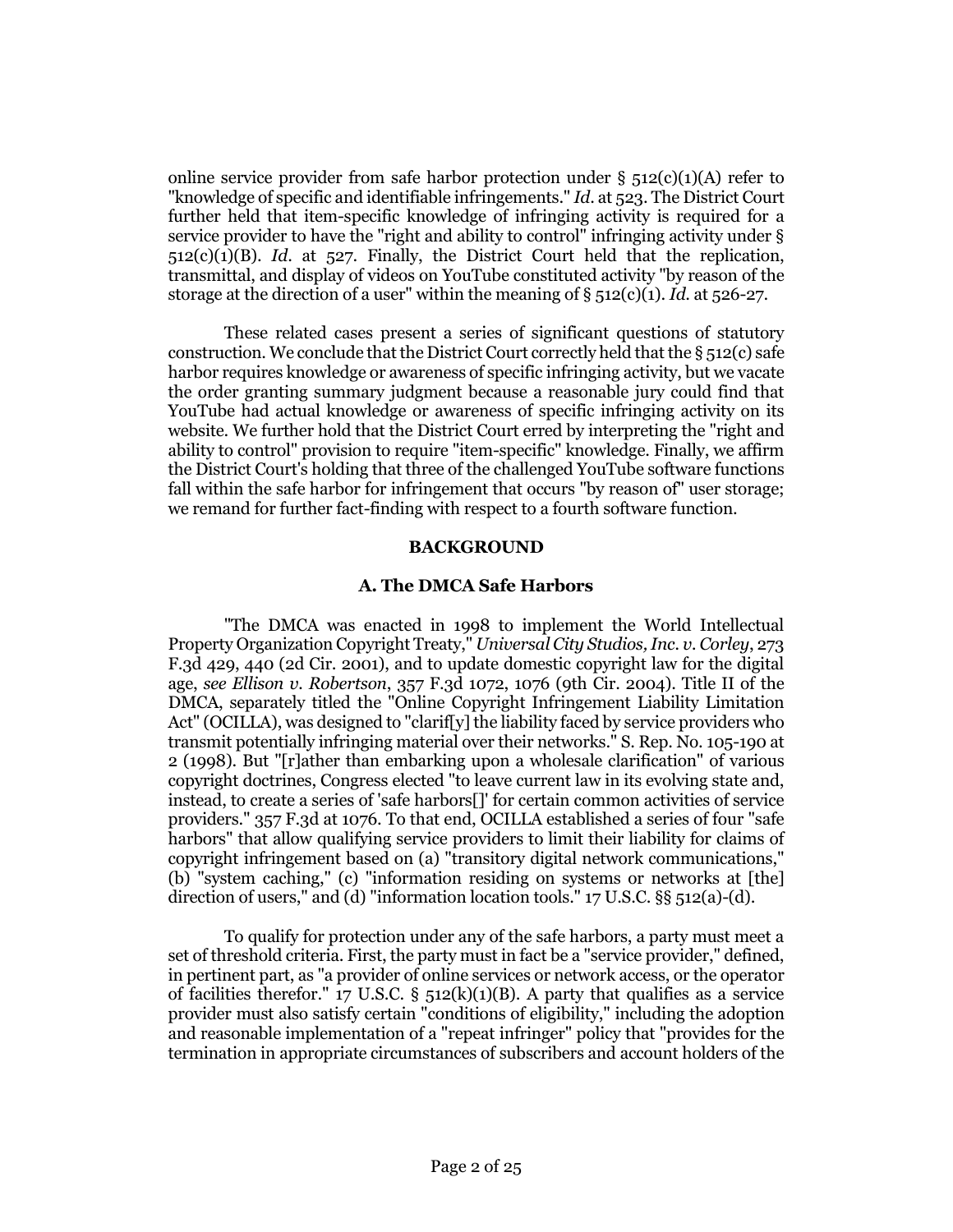online service provider from safe harbor protection under  $\S$  512(c)(1)(A) refer to "knowledge of specific and identifiable infringements." *Id*. at 523. The District Court further held that item-specific knowledge of infringing activity is required for a service provider to have the "right and ability to control" infringing activity under § 512(c)(1)(B). *Id*. at 527. Finally, the District Court held that the replication, transmittal, and display of videos on YouTube constituted activity "by reason of the storage at the direction of a user" within the meaning of  $\S$  512(c)(1). *Id.* at 526-27.

These related cases present a series of significant questions of statutory construction. We conclude that the District Court correctly held that the § 512(c) safe harbor requires knowledge or awareness of specific infringing activity, but we vacate the order granting summary judgment because a reasonable jury could find that YouTube had actual knowledge or awareness of specific infringing activity on its website. We further hold that the District Court erred by interpreting the "right and ability to control" provision to require "item-specific" knowledge. Finally, we affirm the District Court's holding that three of the challenged YouTube software functions fall within the safe harbor for infringement that occurs "by reason of" user storage; we remand for further fact-finding with respect to a fourth software function.

## **BACKGROUND**

## **A. The DMCA Safe Harbors**

"The DMCA was enacted in 1998 to implement the World Intellectual Property Organization Copyright Treaty," *Universal City Studios, Inc. v. Corley*, 273 F.3d 429, 440 (2d Cir. 2001), and to update domestic copyright law for the digital age, *see Ellison v. Robertson*, 357 F.3d 1072, 1076 (9th Cir. 2004). Title II of the DMCA, separately titled the "Online Copyright Infringement Liability Limitation Act" (OCILLA), was designed to "clarif[y] the liability faced by service providers who transmit potentially infringing material over their networks." S. Rep. No. 105-190 at 2 (1998). But "[r]ather than embarking upon a wholesale clarification" of various copyright doctrines, Congress elected "to leave current law in its evolving state and, instead, to create a series of 'safe harbors[]' for certain common activities of service providers." 357 F.3d at 1076. To that end, OCILLA established a series of four "safe harbors" that allow qualifying service providers to limit their liability for claims of copyright infringement based on (a) "transitory digital network communications," (b) "system caching," (c) "information residing on systems or networks at [the] direction of users," and (d) "information location tools." 17 U.S.C. §§ 512(a)-(d).

To qualify for protection under any of the safe harbors, a party must meet a set of threshold criteria. First, the party must in fact be a "service provider," defined, in pertinent part, as "a provider of online services or network access, or the operator of facilities therefor."  $17 \text{ U.S.C. }$  §  $512(k)(1)(B)$ . A party that qualifies as a service provider must also satisfy certain "conditions of eligibility," including the adoption and reasonable implementation of a "repeat infringer" policy that "provides for the termination in appropriate circumstances of subscribers and account holders of the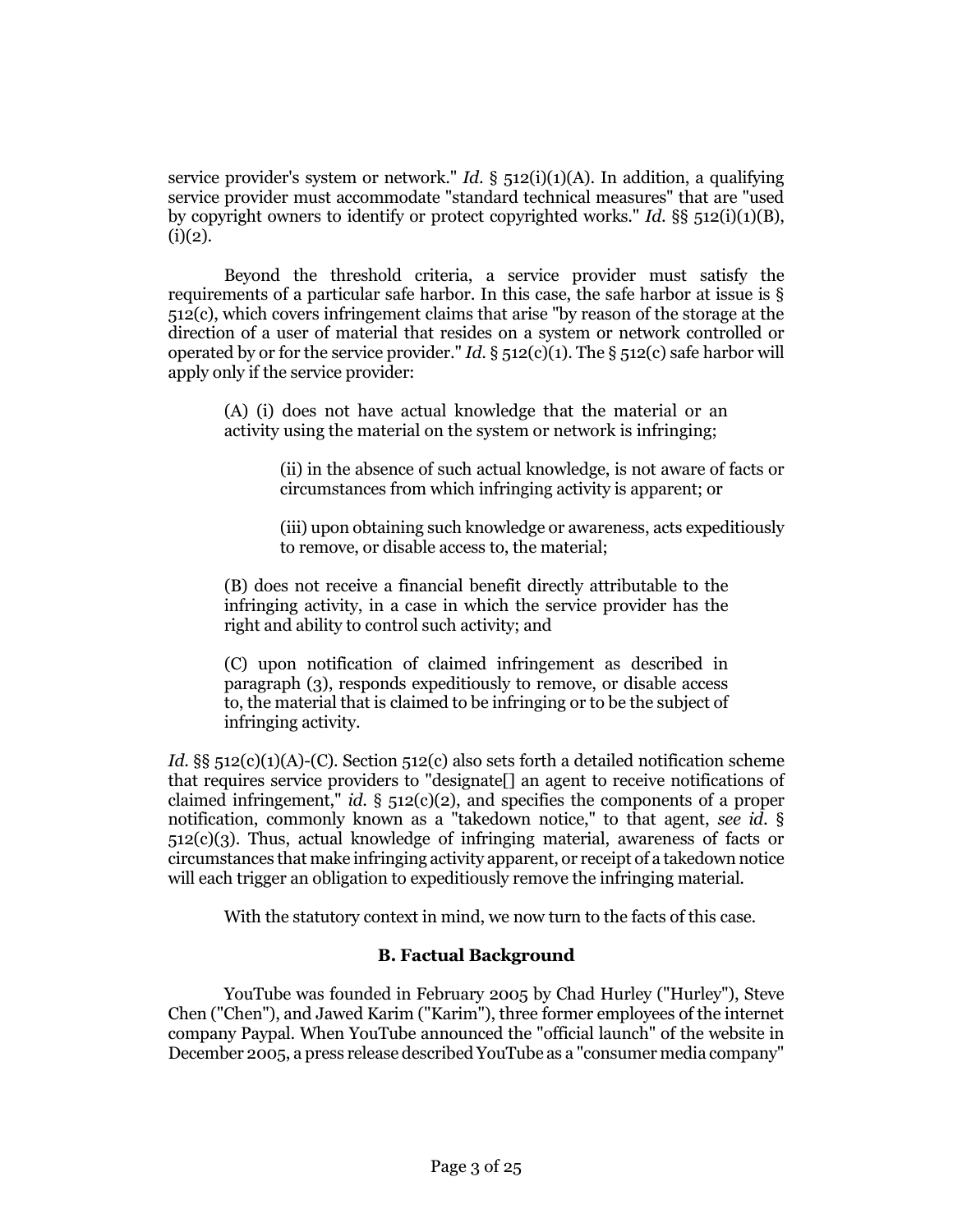service provider's system or network." *Id*. § 512(i)(1)(A). In addition, a qualifying service provider must accommodate "standard technical measures" that are "used by copyright owners to identify or protect copyrighted works." *Id*. §§ 512(i)(1)(B),  $(i)(2)$ .

Beyond the threshold criteria, a service provider must satisfy the requirements of a particular safe harbor. In this case, the safe harbor at issue is § 512(c), which covers infringement claims that arise "by reason of the storage at the direction of a user of material that resides on a system or network controlled or operated by or for the service provider." *Id.*  $\S$  512(c)(1). The  $\S$  512(c) safe harbor will apply only if the service provider:

(A) (i) does not have actual knowledge that the material or an activity using the material on the system or network is infringing;

> (ii) in the absence of such actual knowledge, is not aware of facts or circumstances from which infringing activity is apparent; or

> (iii) upon obtaining such knowledge or awareness, acts expeditiously to remove, or disable access to, the material;

(B) does not receive a financial benefit directly attributable to the infringing activity, in a case in which the service provider has the right and ability to control such activity; and

(C) upon notification of claimed infringement as described in paragraph (3), responds expeditiously to remove, or disable access to, the material that is claimed to be infringing or to be the subject of infringing activity.

*Id*. §§ 512(c)(1)(A)-(C). Section 512(c) also sets forth a detailed notification scheme that requires service providers to "designate[] an agent to receive notifications of claimed infringement," *id*. § 512(c)(2), and specifies the components of a proper notification, commonly known as a "takedown notice," to that agent, *see id*. § 512(c)(3). Thus, actual knowledge of infringing material, awareness of facts or circumstances that make infringing activity apparent, or receipt of a takedown notice will each trigger an obligation to expeditiously remove the infringing material.

With the statutory context in mind, we now turn to the facts of this case.

## **B. Factual Background**

YouTube was founded in February 2005 by Chad Hurley ("Hurley"), Steve Chen ("Chen"), and Jawed Karim ("Karim"), three former employees of the internet company Paypal. When YouTube announced the "official launch" of the website in December 2005, a press release described YouTube as a "consumer media company"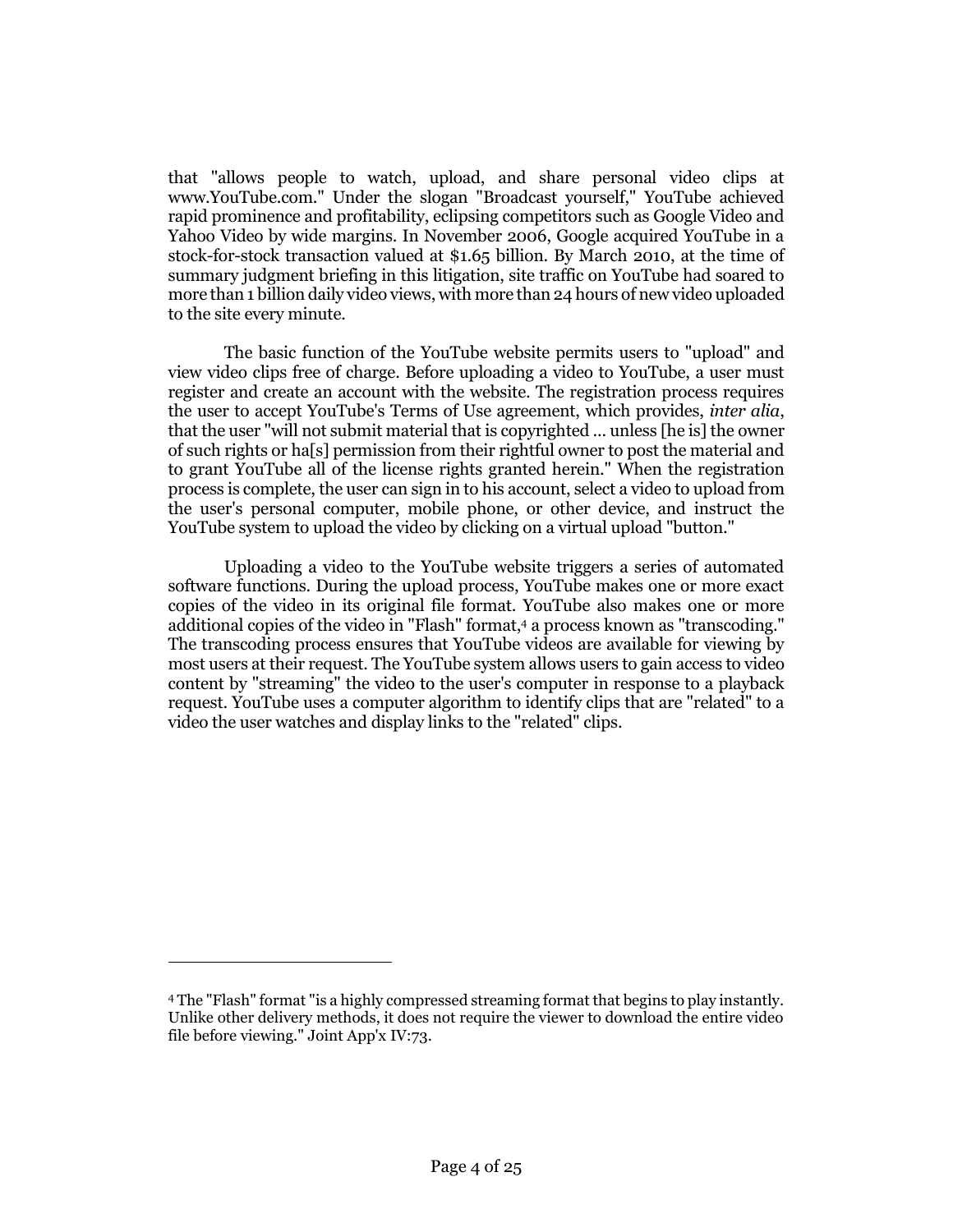that "allows people to watch, upload, and share personal video clips at www.YouTube.com." Under the slogan "Broadcast yourself," YouTube achieved rapid prominence and profitability, eclipsing competitors such as Google Video and Yahoo Video by wide margins. In November 2006, Google acquired YouTube in a stock-for-stock transaction valued at \$1.65 billion. By March 2010, at the time of summary judgment briefing in this litigation, site traffic on YouTube had soared to more than 1 billion daily video views, with more than 24 hours of new video uploaded to the site every minute.

The basic function of the YouTube website permits users to "upload" and view video clips free of charge. Before uploading a video to YouTube, a user must register and create an account with the website. The registration process requires the user to accept YouTube's Terms of Use agreement, which provides, *inter alia*, that the user "will not submit material that is copyrighted ... unless [he is] the owner of such rights or ha[s] permission from their rightful owner to post the material and to grant YouTube all of the license rights granted herein." When the registration process is complete, the user can sign in to his account, select a video to upload from the user's personal computer, mobile phone, or other device, and instruct the YouTube system to upload the video by clicking on a virtual upload "button."

Uploading a video to the YouTube website triggers a series of automated software functions. During the upload process, YouTube makes one or more exact copies of the video in its original file format. YouTube also makes one or more additional copies of the video in "Flash" format,<sup>4</sup> a process known as "transcoding." The transcoding process ensures that YouTube videos are available for viewing by most users at their request. The YouTube system allows users to gain access to video content by "streaming" the video to the user's computer in response to a playback request. YouTube uses a computer algorithm to identify clips that are "related" to a video the user watches and display links to the "related" clips.

<sup>4</sup> The "Flash" format "is a highly compressed streaming format that begins to play instantly. Unlike other delivery methods, it does not require the viewer to download the entire video file before viewing." Joint App'x IV:73.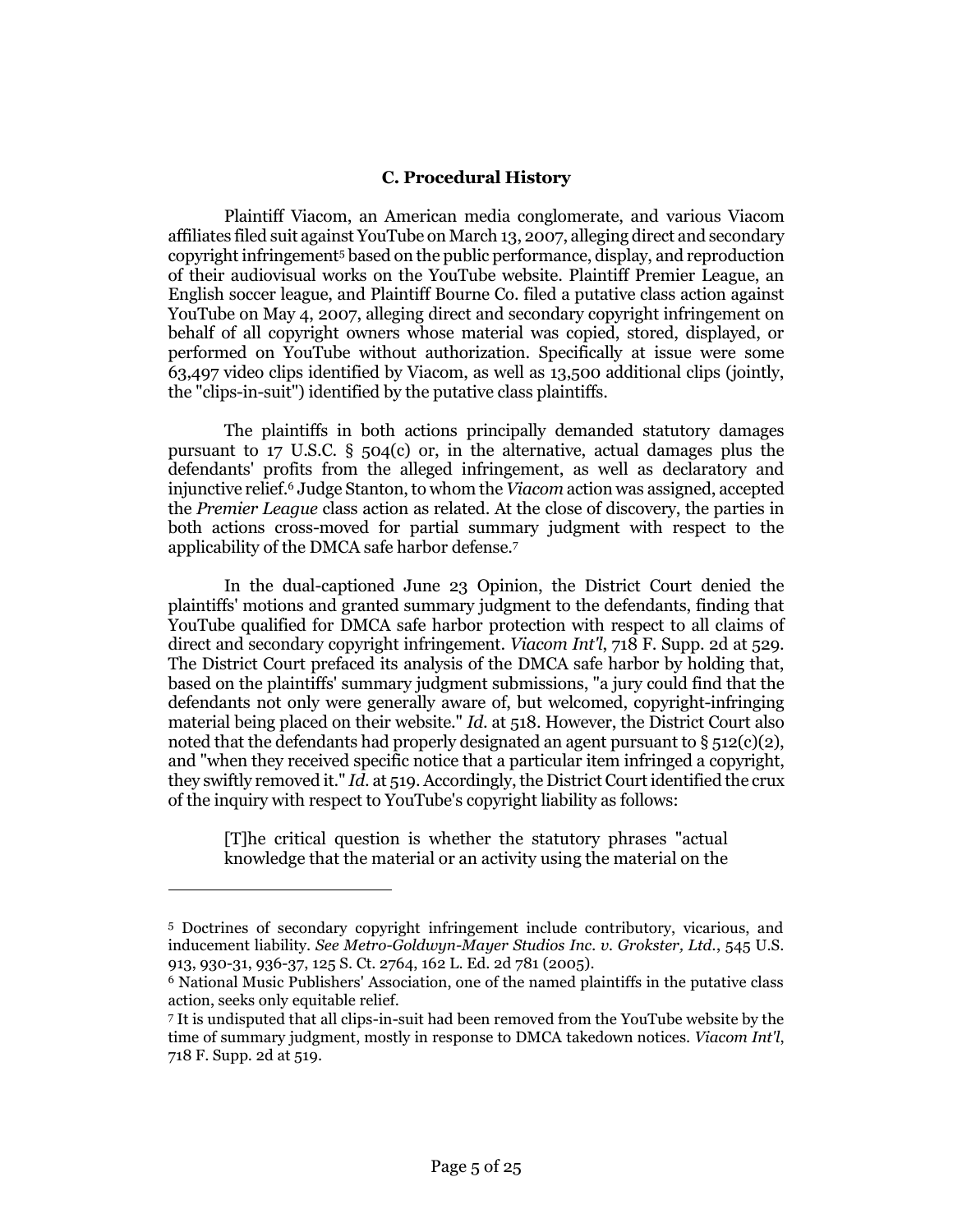#### **C. Procedural History**

Plaintiff Viacom, an American media conglomerate, and various Viacom affiliates filed suit against YouTube on March 13, 2007, alleging direct and secondary copyright infringement<sup>5</sup> based on the public performance, display, and reproduction of their audiovisual works on the YouTube website. Plaintiff Premier League, an English soccer league, and Plaintiff Bourne Co. filed a putative class action against YouTube on May 4, 2007, alleging direct and secondary copyright infringement on behalf of all copyright owners whose material was copied, stored, displayed, or performed on YouTube without authorization. Specifically at issue were some 63,497 video clips identified by Viacom, as well as 13,500 additional clips (jointly, the "clips-in-suit") identified by the putative class plaintiffs.

The plaintiffs in both actions principally demanded statutory damages pursuant to 17 U.S.C. §  $504(c)$  or, in the alternative, actual damages plus the defendants' profits from the alleged infringement, as well as declaratory and injunctive relief.<sup>6</sup> Judge Stanton, to whom the *Viacom* action was assigned, accepted the *Premier League* class action as related. At the close of discovery, the parties in both actions cross-moved for partial summary judgment with respect to the applicability of the DMCA safe harbor defense.<sup>7</sup>

In the dual-captioned June 23 Opinion, the District Court denied the plaintiffs' motions and granted summary judgment to the defendants, finding that YouTube qualified for DMCA safe harbor protection with respect to all claims of direct and secondary copyright infringement. *Viacom Int'l*, 718 F. Supp. 2d at 529. The District Court prefaced its analysis of the DMCA safe harbor by holding that, based on the plaintiffs' summary judgment submissions, "a jury could find that the defendants not only were generally aware of, but welcomed, copyright-infringing material being placed on their website." *Id*. at 518. However, the District Court also noted that the defendants had properly designated an agent pursuant to  $\S$  512(c)(2), and "when they received specific notice that a particular item infringed a copyright, they swiftly removed it." *Id*. at 519. Accordingly, the District Court identified the crux of the inquiry with respect to YouTube's copyright liability as follows:

[T]he critical question is whether the statutory phrases "actual knowledge that the material or an activity using the material on the

<sup>5</sup> Doctrines of secondary copyright infringement include contributory, vicarious, and inducement liability. *See Metro-Goldwyn-Mayer Studios Inc. v. Grokster, Ltd.*, 545 U.S. 913, 930-31, 936-37, 125 S. Ct. 2764, 162 L. Ed. 2d 781 (2005).

<sup>6</sup> National Music Publishers' Association, one of the named plaintiffs in the putative class action, seeks only equitable relief.

<sup>7</sup> It is undisputed that all clips-in-suit had been removed from the YouTube website by the time of summary judgment, mostly in response to DMCA takedown notices. *Viacom Int'l*, 718 F. Supp. 2d at 519.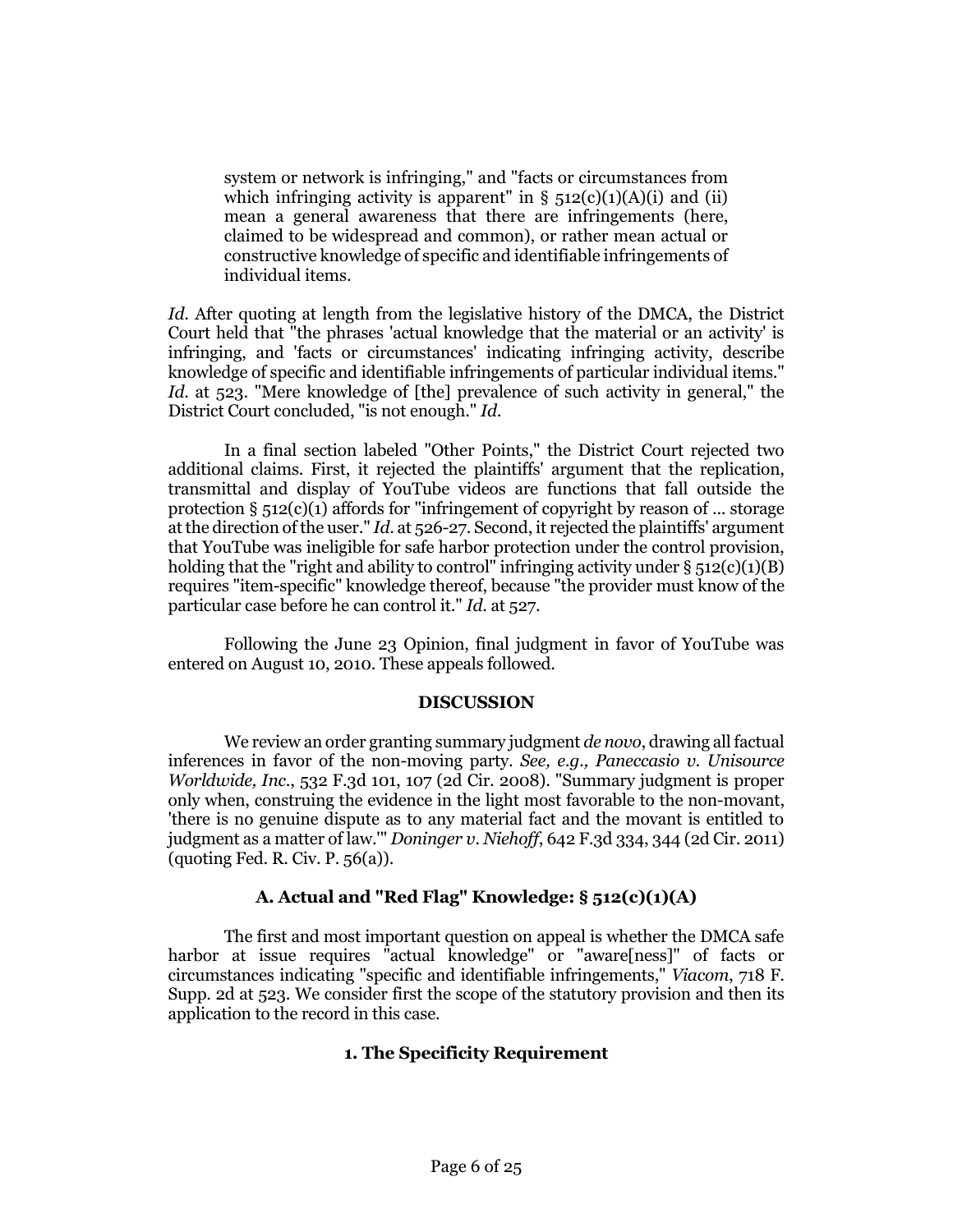system or network is infringing," and "facts or circumstances from which infringing activity is apparent" in  $\S$  512(c)(1)(A)(i) and (ii) mean a general awareness that there are infringements (here, claimed to be widespread and common), or rather mean actual or constructive knowledge of specific and identifiable infringements of individual items.

*Id*. After quoting at length from the legislative history of the DMCA, the District Court held that "the phrases 'actual knowledge that the material or an activity' is infringing, and 'facts or circumstances' indicating infringing activity, describe knowledge of specific and identifiable infringements of particular individual items." *Id*. at 523. "Mere knowledge of [the] prevalence of such activity in general," the District Court concluded, "is not enough." *Id*.

In a final section labeled "Other Points," the District Court rejected two additional claims. First, it rejected the plaintiffs' argument that the replication, transmittal and display of YouTube videos are functions that fall outside the protection §  $512(c)(1)$  affords for "infringement of copyright by reason of ... storage at the direction of the user." *Id*. at 526-27. Second, it rejected the plaintiffs' argument that YouTube was ineligible for safe harbor protection under the control provision, holding that the "right and ability to control" infringing activity under  $\S 512(c)(1)(B)$ requires "item-specific" knowledge thereof, because "the provider must know of the particular case before he can control it." *Id*. at 527.

Following the June 23 Opinion, final judgment in favor of YouTube was entered on August 10, 2010. These appeals followed.

## **DISCUSSION**

We review an order granting summary judgment *de novo*, drawing all factual inferences in favor of the non-moving party. *See, e.g., Paneccasio v. Unisource Worldwide, Inc*., 532 F.3d 101, 107 (2d Cir. 2008). "Summary judgment is proper only when, construing the evidence in the light most favorable to the non-movant, 'there is no genuine dispute as to any material fact and the movant is entitled to judgment as a matter of law.'" *Doninger v. Niehoff*, 642 F.3d 334, 344 (2d Cir. 2011) (quoting Fed. R. Civ. P. 56(a)).

# **A. Actual and "Red Flag" Knowledge: § 512(c)(1)(A)**

The first and most important question on appeal is whether the DMCA safe harbor at issue requires "actual knowledge" or "aware[ness]" of facts or circumstances indicating "specific and identifiable infringements," *Viacom*, 718 F. Supp. 2d at 523. We consider first the scope of the statutory provision and then its application to the record in this case.

# **1. The Specificity Requirement**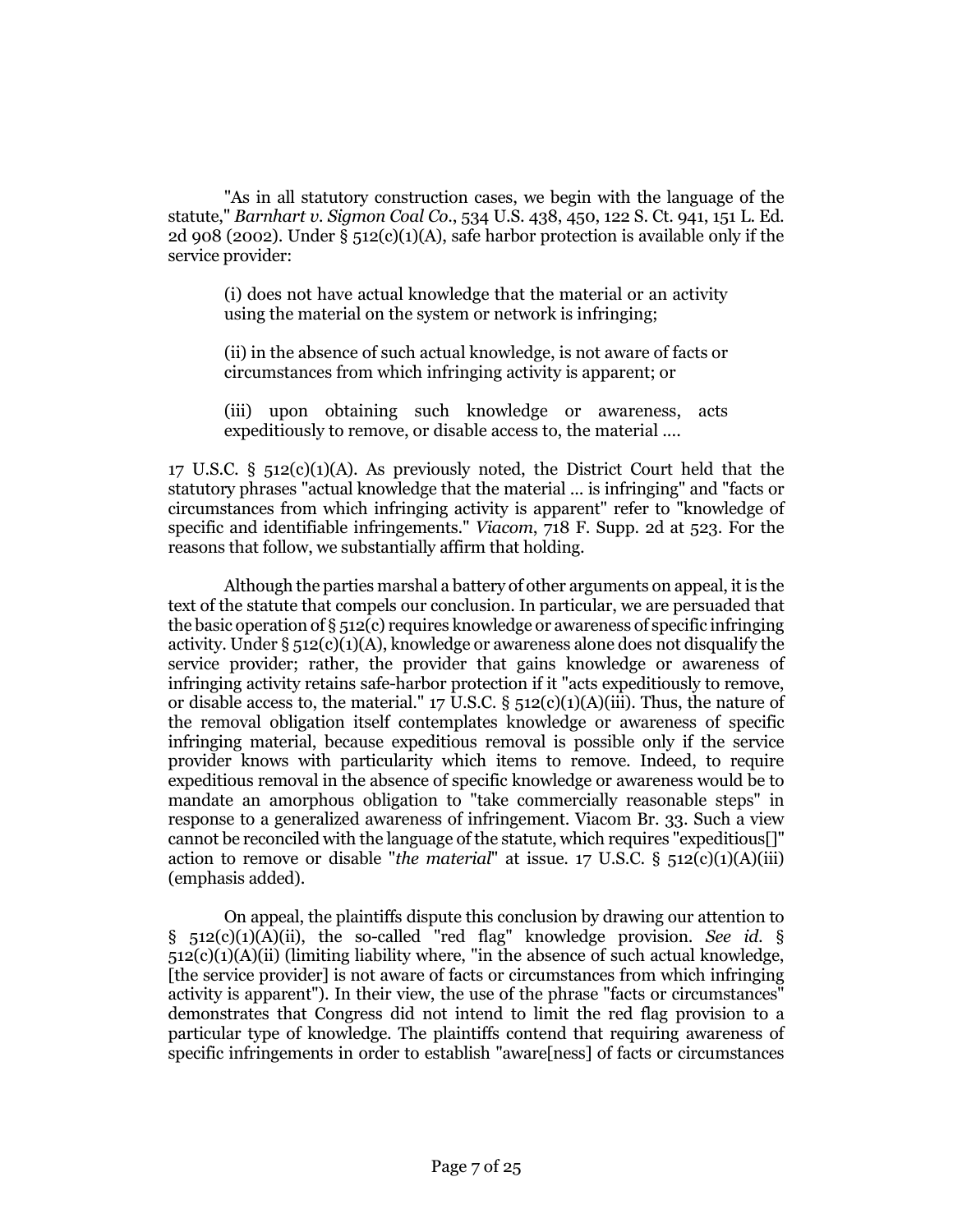"As in all statutory construction cases, we begin with the language of the statute," *Barnhart v. Sigmon Coal Co*., 534 U.S. 438, 450, 122 S. Ct. 941, 151 L. Ed. 2d 908 (2002). Under  $\S$  512(c)(1)(A), safe harbor protection is available only if the service provider:

(i) does not have actual knowledge that the material or an activity using the material on the system or network is infringing;

(ii) in the absence of such actual knowledge, is not aware of facts or circumstances from which infringing activity is apparent; or

(iii) upon obtaining such knowledge or awareness, acts expeditiously to remove, or disable access to, the material ....

17 U.S.C.  $\S$  512(c)(1)(A). As previously noted, the District Court held that the statutory phrases "actual knowledge that the material ... is infringing" and "facts or circumstances from which infringing activity is apparent" refer to "knowledge of specific and identifiable infringements." *Viacom*, 718 F. Supp. 2d at 523. For the reasons that follow, we substantially affirm that holding.

Although the parties marshal a battery of other arguments on appeal, it is the text of the statute that compels our conclusion. In particular, we are persuaded that the basic operation of  $\S$  512(c) requires knowledge or awareness of specific infringing activity. Under §  $512(c)(1)(A)$ , knowledge or awareness alone does not disqualify the service provider; rather, the provider that gains knowledge or awareness of infringing activity retains safe-harbor protection if it "acts expeditiously to remove, or disable access to, the material."  $17 \text{ U.S.C. }$  §  $512(c)(1)(A)(iii)$ . Thus, the nature of the removal obligation itself contemplates knowledge or awareness of specific infringing material, because expeditious removal is possible only if the service provider knows with particularity which items to remove. Indeed, to require expeditious removal in the absence of specific knowledge or awareness would be to mandate an amorphous obligation to "take commercially reasonable steps" in response to a generalized awareness of infringement. Viacom Br. 33. Such a view cannot be reconciled with the language of the statute, which requires "expeditious[]" action to remove or disable "*the material*" at issue. 17 U.S.C. § 512(c)(1)(A)(iii) (emphasis added).

On appeal, the plaintiffs dispute this conclusion by drawing our attention to § 512(c)(1)(A)(ii), the so-called "red flag" knowledge provision. *See id*. §  $512(c)(1)(A)(ii)$  (limiting liability where, "in the absence of such actual knowledge, [the service provider] is not aware of facts or circumstances from which infringing activity is apparent"). In their view, the use of the phrase "facts or circumstances" demonstrates that Congress did not intend to limit the red flag provision to a particular type of knowledge. The plaintiffs contend that requiring awareness of specific infringements in order to establish "aware[ness] of facts or circumstances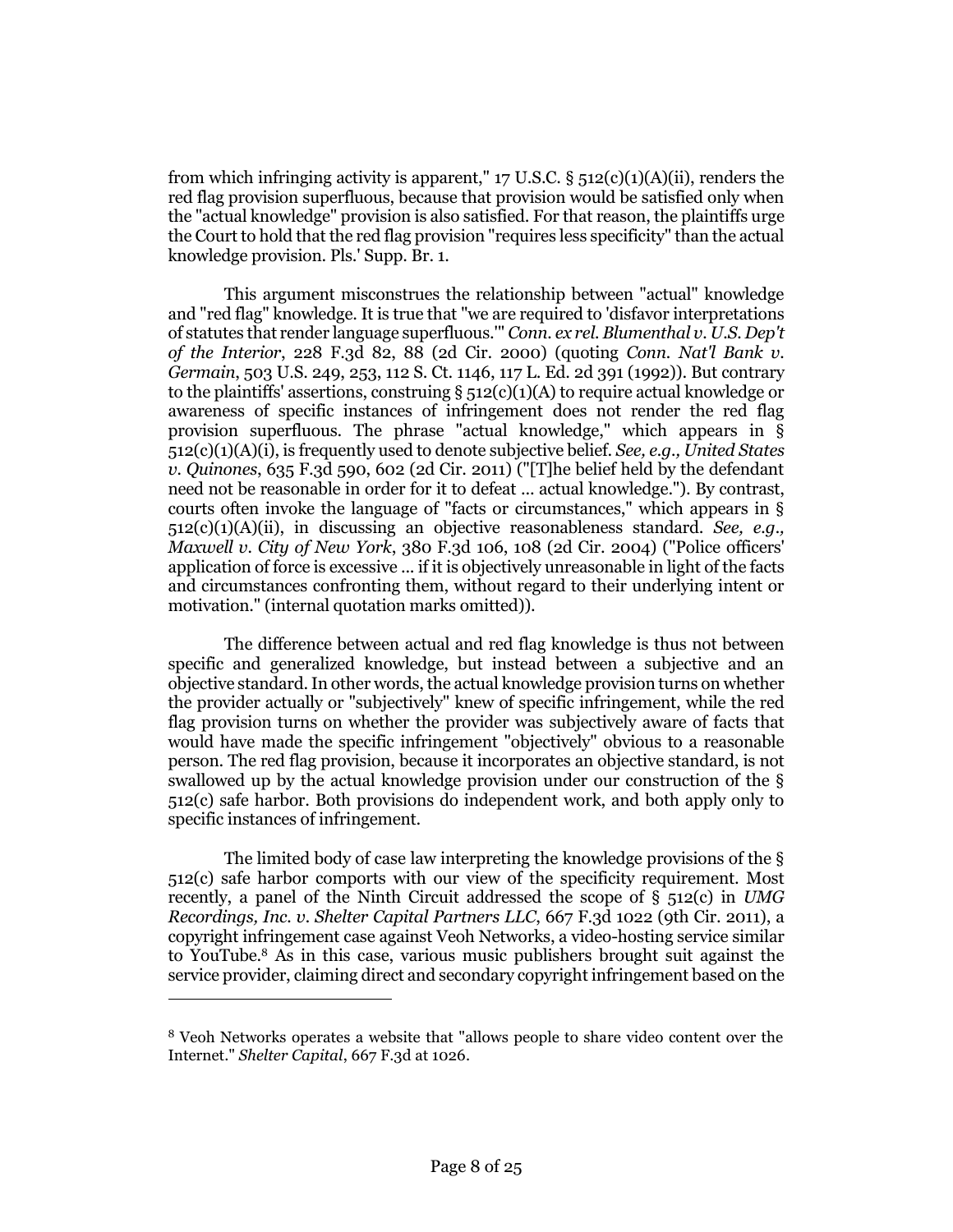from which infringing activity is apparent,"  $17 \text{ U.S.C.}$  §  $512(c)(1)(\text{A})(ii)$ , renders the red flag provision superfluous, because that provision would be satisfied only when the "actual knowledge" provision is also satisfied. For that reason, the plaintiffs urge the Court to hold that the red flag provision "requires less specificity" than the actual knowledge provision. Pls.' Supp. Br. 1.

This argument misconstrues the relationship between "actual" knowledge and "red flag" knowledge. It is true that "we are required to 'disfavor interpretations of statutes that render language superfluous.'" *Conn. ex rel. Blumenthal v. U.S. Dep't of the Interior*, 228 F.3d 82, 88 (2d Cir. 2000) (quoting *Conn. Nat'l Bank v. Germain*, 503 U.S. 249, 253, 112 S. Ct. 1146, 117 L. Ed. 2d 391 (1992)). But contrary to the plaintiffs' assertions, construing  $\S$  512(c)(1)(A) to require actual knowledge or awareness of specific instances of infringement does not render the red flag provision superfluous. The phrase "actual knowledge," which appears in § 512(c)(1)(A)(i), is frequently used to denote subjective belief. *See, e.g., United States v. Quinones*, 635 F.3d 590, 602 (2d Cir. 2011) ("[T]he belief held by the defendant need not be reasonable in order for it to defeat ... actual knowledge."). By contrast, courts often invoke the language of "facts or circumstances," which appears in § 512(c)(1)(A)(ii), in discussing an objective reasonableness standard. *See, e.g., Maxwell v. City of New York*, 380 F.3d 106, 108 (2d Cir. 2004) ("Police officers' application of force is excessive ... if it is objectively unreasonable in light of the facts and circumstances confronting them, without regard to their underlying intent or motivation." (internal quotation marks omitted)).

The difference between actual and red flag knowledge is thus not between specific and generalized knowledge, but instead between a subjective and an objective standard. In other words, the actual knowledge provision turns on whether the provider actually or "subjectively" knew of specific infringement, while the red flag provision turns on whether the provider was subjectively aware of facts that would have made the specific infringement "objectively" obvious to a reasonable person. The red flag provision, because it incorporates an objective standard, is not swallowed up by the actual knowledge provision under our construction of the § 512(c) safe harbor. Both provisions do independent work, and both apply only to specific instances of infringement.

The limited body of case law interpreting the knowledge provisions of the § 512(c) safe harbor comports with our view of the specificity requirement. Most recently, a panel of the Ninth Circuit addressed the scope of § 512(c) in *UMG Recordings, Inc. v. Shelter Capital Partners LLC*, 667 F.3d 1022 (9th Cir. 2011), a copyright infringement case against Veoh Networks, a video-hosting service similar to YouTube.<sup>8</sup> As in this case, various music publishers brought suit against the service provider, claiming direct and secondary copyright infringement based on the

<sup>8</sup> Veoh Networks operates a website that "allows people to share video content over the Internet." *Shelter Capital*, 667 F.3d at 1026.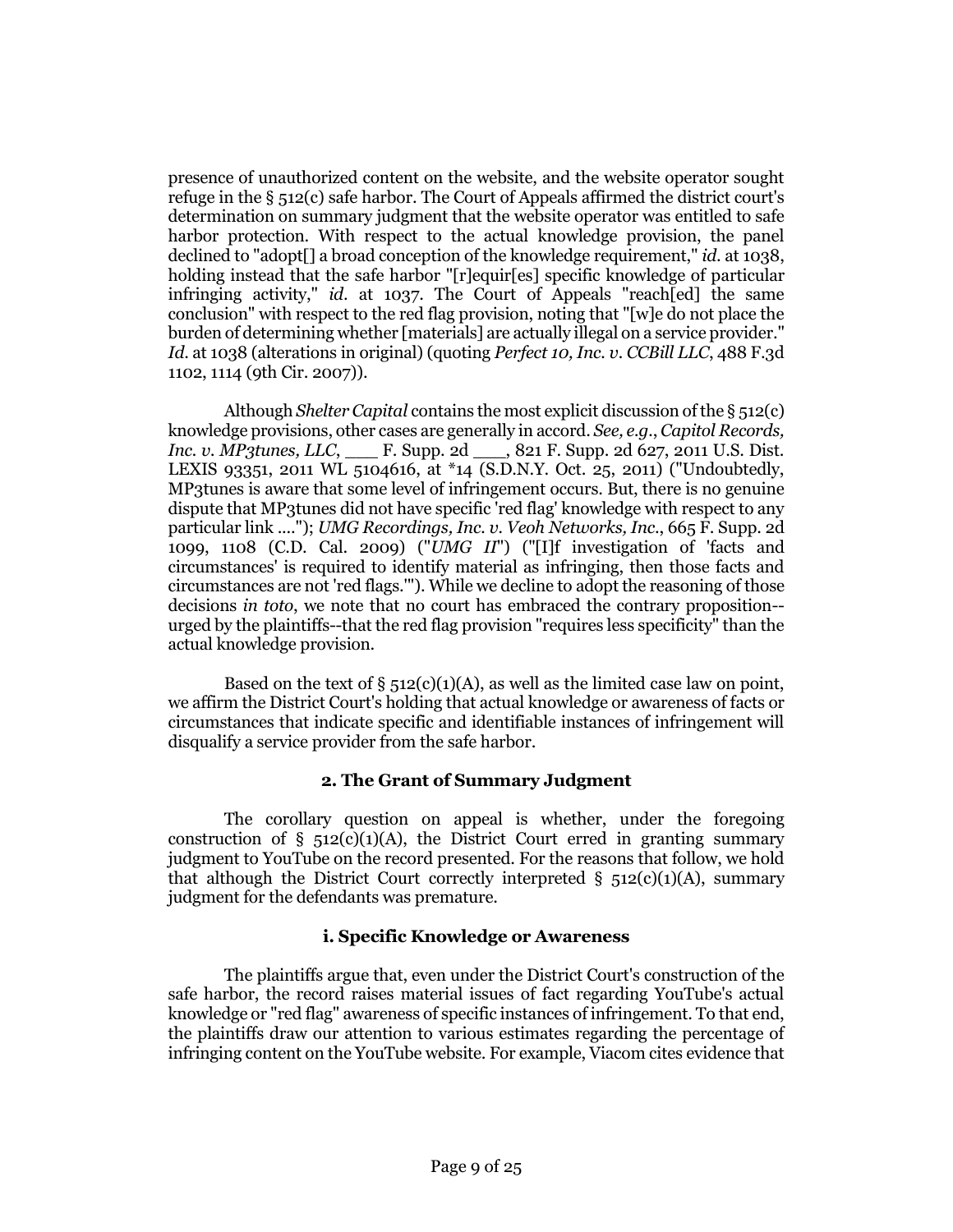presence of unauthorized content on the website, and the website operator sought refuge in the § 512(c) safe harbor. The Court of Appeals affirmed the district court's determination on summary judgment that the website operator was entitled to safe harbor protection. With respect to the actual knowledge provision, the panel declined to "adopt[] a broad conception of the knowledge requirement," *id*. at 1038, holding instead that the safe harbor "[r]equir[es] specific knowledge of particular infringing activity," *id.* at 1037. The Court of Appeals "reach ed] the same conclusion" with respect to the red flag provision, noting that "[w]e do not place the burden of determining whether [materials] are actually illegal on a service provider." *Id*. at 1038 (alterations in original) (quoting *Perfect 10, Inc. v. CCBill LLC*, 488 F.3d 1102, 1114 (9th Cir. 2007)).

Although *Shelter Capital* contains the most explicit discussion of the § 512(c) knowledge provisions, other cases are generally in accord. *See, e.g.*, *Capitol Records, Inc. v. MP3tunes, LLC*, \_\_\_\_ F. Supp. 2d \_\_\_, 821 F. Supp. 2d 627, 2011 U.S. Dist. LEXIS 93351, 2011 WL 5104616, at \*14 (S.D.N.Y. Oct. 25, 2011) ("Undoubtedly, MP3tunes is aware that some level of infringement occurs. But, there is no genuine dispute that MP3tunes did not have specific 'red flag' knowledge with respect to any particular link ...."); *UMG Recordings, Inc. v. Veoh Networks, Inc*., 665 F. Supp. 2d 1099, 1108 (C.D. Cal. 2009) ("*UMG II*") ("[I]f investigation of 'facts and circumstances' is required to identify material as infringing, then those facts and circumstances are not 'red flags.'"). While we decline to adopt the reasoning of those decisions *in toto*, we note that no court has embraced the contrary proposition- urged by the plaintiffs--that the red flag provision "requires less specificity" than the actual knowledge provision.

Based on the text of  $\S$  512(c)(1)(A), as well as the limited case law on point, we affirm the District Court's holding that actual knowledge or awareness of facts or circumstances that indicate specific and identifiable instances of infringement will disqualify a service provider from the safe harbor.

## **2. The Grant of Summary Judgment**

The corollary question on appeal is whether, under the foregoing construction of  $\S$  512(c)(1)(A), the District Court erred in granting summary judgment to YouTube on the record presented. For the reasons that follow, we hold that although the District Court correctly interpreted  $\S$  512(c)(1)(A), summary judgment for the defendants was premature.

## **i. Specific Knowledge or Awareness**

The plaintiffs argue that, even under the District Court's construction of the safe harbor, the record raises material issues of fact regarding YouTube's actual knowledge or "red flag" awareness of specific instances of infringement. To that end, the plaintiffs draw our attention to various estimates regarding the percentage of infringing content on the YouTube website. For example, Viacom cites evidence that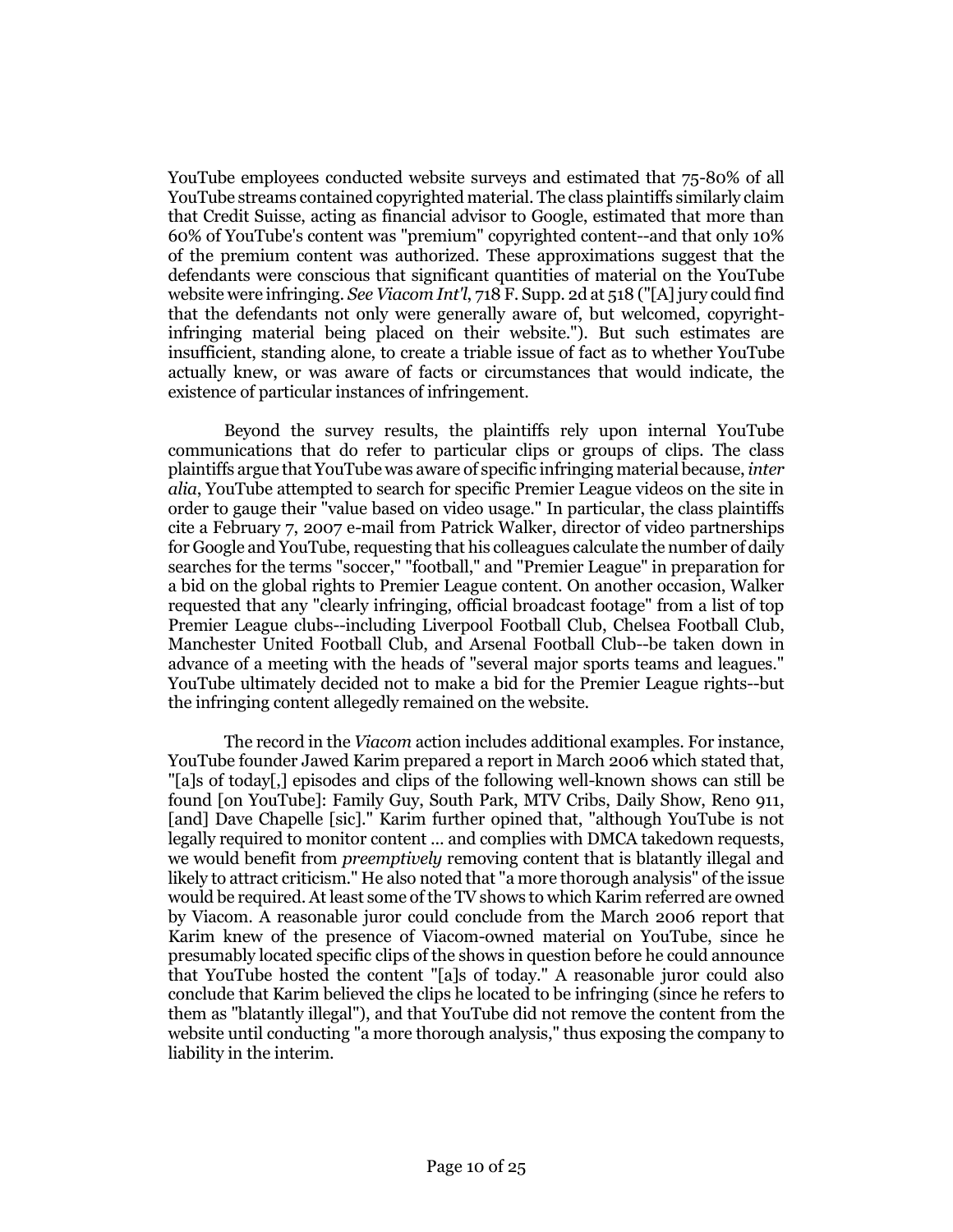YouTube employees conducted website surveys and estimated that 75-80% of all YouTube streams contained copyrighted material. The class plaintiffs similarly claim that Credit Suisse, acting as financial advisor to Google, estimated that more than 60% of YouTube's content was "premium" copyrighted content--and that only 10% of the premium content was authorized. These approximations suggest that the defendants were conscious that significant quantities of material on the YouTube website were infringing. *See Viacom Int'l*, 718 F. Supp. 2d at 518 ("[A] jury could find that the defendants not only were generally aware of, but welcomed, copyrightinfringing material being placed on their website."). But such estimates are insufficient, standing alone, to create a triable issue of fact as to whether YouTube actually knew, or was aware of facts or circumstances that would indicate, the existence of particular instances of infringement.

Beyond the survey results, the plaintiffs rely upon internal YouTube communications that do refer to particular clips or groups of clips. The class plaintiffs argue that YouTube was aware of specific infringing material because, *inter alia*, YouTube attempted to search for specific Premier League videos on the site in order to gauge their "value based on video usage." In particular, the class plaintiffs cite a February 7, 2007 e-mail from Patrick Walker, director of video partnerships for Google and YouTube, requesting that his colleagues calculate the number of daily searches for the terms "soccer," "football," and "Premier League" in preparation for a bid on the global rights to Premier League content. On another occasion, Walker requested that any "clearly infringing, official broadcast footage" from a list of top Premier League clubs--including Liverpool Football Club, Chelsea Football Club, Manchester United Football Club, and Arsenal Football Club--be taken down in advance of a meeting with the heads of "several major sports teams and leagues." YouTube ultimately decided not to make a bid for the Premier League rights--but the infringing content allegedly remained on the website.

The record in the *Viacom* action includes additional examples. For instance, YouTube founder Jawed Karim prepared a report in March 2006 which stated that, "[a]s of today[,] episodes and clips of the following well-known shows can still be found [on YouTube]: Family Guy, South Park, MTV Cribs, Daily Show, Reno 911, [and] Dave Chapelle [sic]." Karim further opined that, "although YouTube is not legally required to monitor content ... and complies with DMCA takedown requests, we would benefit from *preemptively* removing content that is blatantly illegal and likely to attract criticism." He also noted that "a more thorough analysis" of the issue would be required. At least some of the TV shows to which Karim referred are owned by Viacom. A reasonable juror could conclude from the March 2006 report that Karim knew of the presence of Viacom-owned material on YouTube, since he presumably located specific clips of the shows in question before he could announce that YouTube hosted the content "[a]s of today." A reasonable juror could also conclude that Karim believed the clips he located to be infringing (since he refers to them as "blatantly illegal"), and that YouTube did not remove the content from the website until conducting "a more thorough analysis," thus exposing the company to liability in the interim.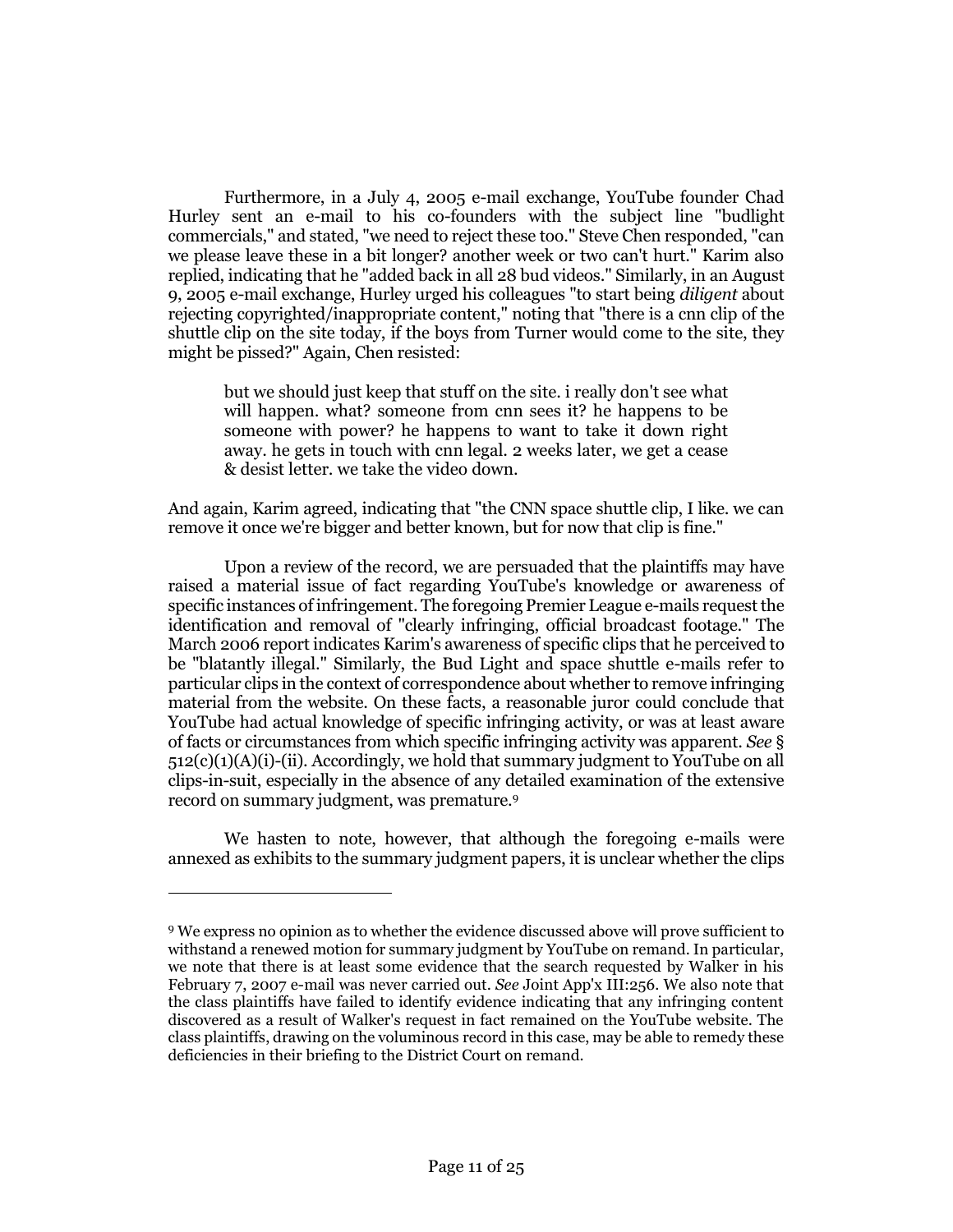Furthermore, in a July 4, 2005 e-mail exchange, YouTube founder Chad Hurley sent an e-mail to his co-founders with the subject line "budlight commercials," and stated, "we need to reject these too." Steve Chen responded, "can we please leave these in a bit longer? another week or two can't hurt." Karim also replied, indicating that he "added back in all 28 bud videos." Similarly, in an August 9, 2005 e-mail exchange, Hurley urged his colleagues "to start being *diligent* about rejecting copyrighted/inappropriate content," noting that "there is a cnn clip of the shuttle clip on the site today, if the boys from Turner would come to the site, they might be pissed?" Again, Chen resisted:

but we should just keep that stuff on the site. i really don't see what will happen. what? someone from cnn sees it? he happens to be someone with power? he happens to want to take it down right away. he gets in touch with cnn legal. 2 weeks later, we get a cease & desist letter. we take the video down.

And again, Karim agreed, indicating that "the CNN space shuttle clip, I like. we can remove it once we're bigger and better known, but for now that clip is fine."

Upon a review of the record, we are persuaded that the plaintiffs may have raised a material issue of fact regarding YouTube's knowledge or awareness of specific instances of infringement. The foregoing Premier League e-mails request the identification and removal of "clearly infringing, official broadcast footage." The March 2006 report indicates Karim's awareness of specific clips that he perceived to be "blatantly illegal." Similarly, the Bud Light and space shuttle e-mails refer to particular clips in the context of correspondence about whether to remove infringing material from the website. On these facts, a reasonable juror could conclude that YouTube had actual knowledge of specific infringing activity, or was at least aware of facts or circumstances from which specific infringing activity was apparent. *See* § 512(c)(1)(A)(i)-(ii). Accordingly, we hold that summary judgment to YouTube on all clips-in-suit, especially in the absence of any detailed examination of the extensive record on summary judgment, was premature.<sup>9</sup>

We hasten to note, however, that although the foregoing e-mails were annexed as exhibits to the summary judgment papers, it is unclear whether the clips

<sup>9</sup> We express no opinion as to whether the evidence discussed above will prove sufficient to withstand a renewed motion for summary judgment by YouTube on remand. In particular, we note that there is at least some evidence that the search requested by Walker in his February 7, 2007 e-mail was never carried out. *See* Joint App'x III:256. We also note that the class plaintiffs have failed to identify evidence indicating that any infringing content discovered as a result of Walker's request in fact remained on the YouTube website. The class plaintiffs, drawing on the voluminous record in this case, may be able to remedy these deficiencies in their briefing to the District Court on remand.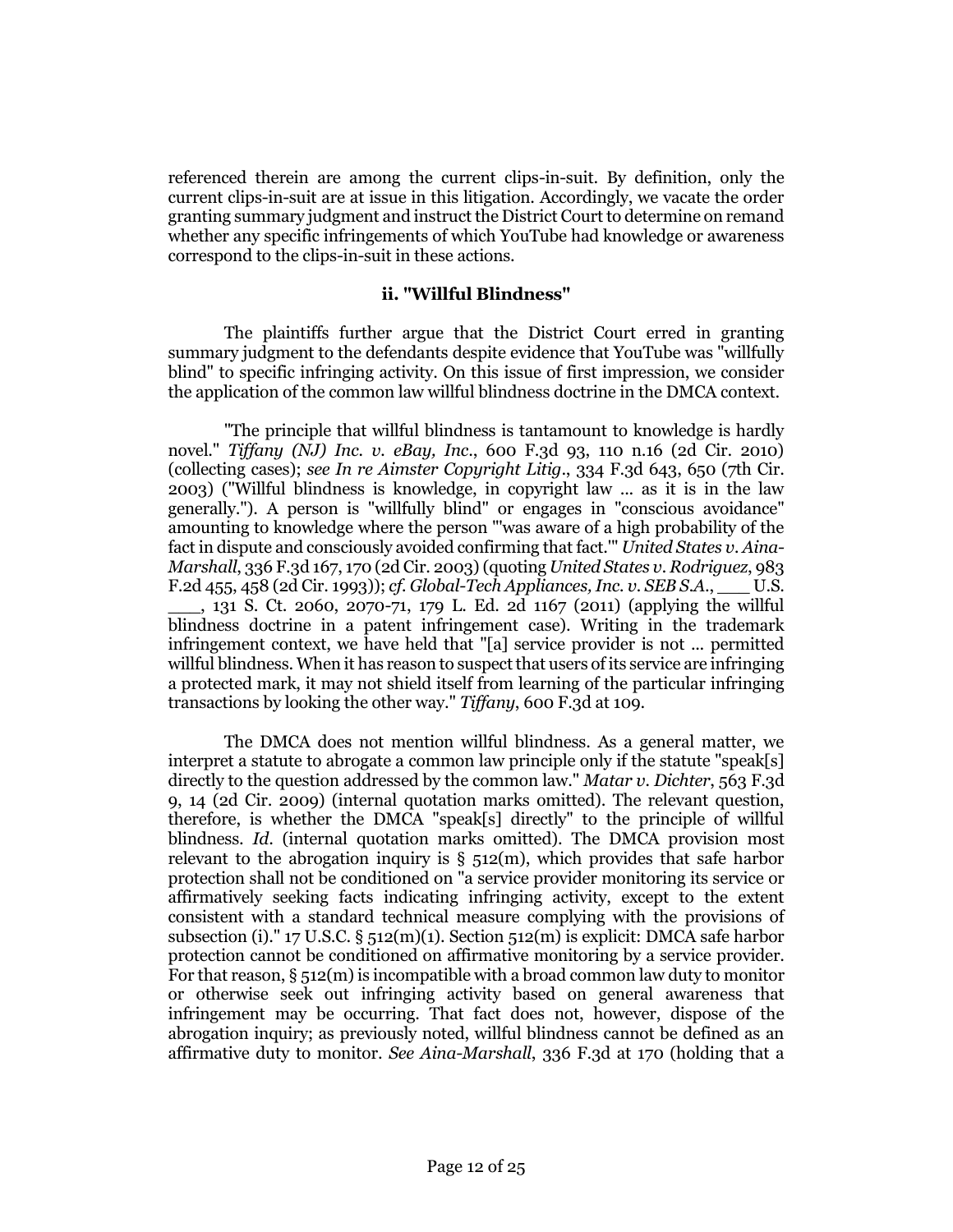referenced therein are among the current clips-in-suit. By definition, only the current clips-in-suit are at issue in this litigation. Accordingly, we vacate the order granting summary judgment and instruct the District Court to determine on remand whether any specific infringements of which YouTube had knowledge or awareness correspond to the clips-in-suit in these actions.

#### **ii. "Willful Blindness"**

The plaintiffs further argue that the District Court erred in granting summary judgment to the defendants despite evidence that YouTube was "willfully blind" to specific infringing activity. On this issue of first impression, we consider the application of the common law willful blindness doctrine in the DMCA context.

"The principle that willful blindness is tantamount to knowledge is hardly novel." *Tiffany (NJ) Inc. v. eBay, Inc*., 600 F.3d 93, 110 n.16 (2d Cir. 2010) (collecting cases); *see In re Aimster Copyright Litig*., 334 F.3d 643, 650 (7th Cir. 2003) ("Willful blindness is knowledge, in copyright law ... as it is in the law generally."). A person is "willfully blind" or engages in "conscious avoidance" amounting to knowledge where the person "'was aware of a high probability of the fact in dispute and consciously avoided confirming that fact.'" *United States v. Aina-Marshall*, 336 F.3d 167, 170 (2d Cir. 2003) (quoting *United States v. Rodriguez*, 983 F.2d 455, 458 (2d Cir. 1993)); *cf. Global-Tech Appliances, Inc. v. SEB S.A*., \_\_\_ U.S.

\_\_\_, 131 S. Ct. 2060, 2070-71, 179 L. Ed. 2d 1167 (2011) (applying the willful blindness doctrine in a patent infringement case). Writing in the trademark infringement context, we have held that "[a] service provider is not ... permitted willful blindness. When it has reason to suspect that users of its service are infringing a protected mark, it may not shield itself from learning of the particular infringing transactions by looking the other way." *Tiffany*, 600 F.3d at 109.

The DMCA does not mention willful blindness. As a general matter, we interpret a statute to abrogate a common law principle only if the statute "speak[s] directly to the question addressed by the common law." *Matar v. Dichter*, 563 F.3d 9, 14 (2d Cir. 2009) (internal quotation marks omitted). The relevant question, therefore, is whether the DMCA "speak[s] directly" to the principle of willful blindness. *Id*. (internal quotation marks omitted). The DMCA provision most relevant to the abrogation inquiry is  $\S$  512(m), which provides that safe harbor protection shall not be conditioned on "a service provider monitoring its service or affirmatively seeking facts indicating infringing activity, except to the extent consistent with a standard technical measure complying with the provisions of subsection (i)." 17 U.S.C. § 512(m)(1). Section 512(m) is explicit: DMCA safe harbor protection cannot be conditioned on affirmative monitoring by a service provider. For that reason, § 512(m) is incompatible with a broad common law duty to monitor or otherwise seek out infringing activity based on general awareness that infringement may be occurring. That fact does not, however, dispose of the abrogation inquiry; as previously noted, willful blindness cannot be defined as an affirmative duty to monitor. *See Aina-Marshall*, 336 F.3d at 170 (holding that a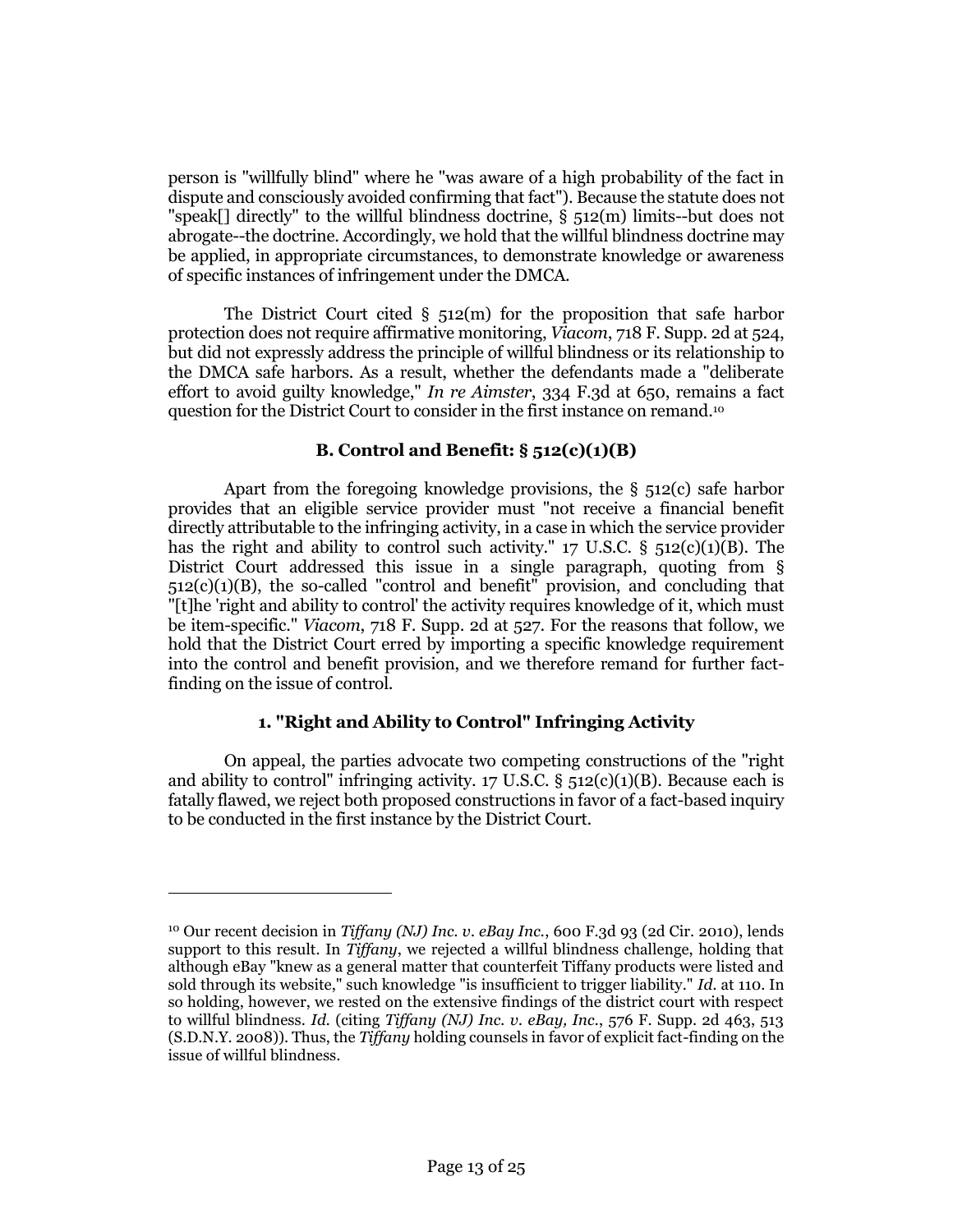person is "willfully blind" where he "was aware of a high probability of the fact in dispute and consciously avoided confirming that fact"). Because the statute does not "speak[] directly" to the willful blindness doctrine,  $\S$  512(m) limits--but does not abrogate--the doctrine. Accordingly, we hold that the willful blindness doctrine may be applied, in appropriate circumstances, to demonstrate knowledge or awareness of specific instances of infringement under the DMCA.

The District Court cited  $\S$  512(m) for the proposition that safe harbor protection does not require affirmative monitoring, *Viacom*, 718 F. Supp. 2d at 524, but did not expressly address the principle of willful blindness or its relationship to the DMCA safe harbors. As a result, whether the defendants made a "deliberate effort to avoid guilty knowledge," *In re Aimster*, 334 F.3d at 650, remains a fact question for the District Court to consider in the first instance on remand.<sup>10</sup>

# **B. Control and Benefit: § 512(c)(1)(B)**

Apart from the foregoing knowledge provisions, the § 512(c) safe harbor provides that an eligible service provider must "not receive a financial benefit directly attributable to the infringing activity, in a case in which the service provider has the right and ability to control such activity." 17 U.S.C. § 512(c)(1)(B). The District Court addressed this issue in a single paragraph, quoting from §  $512(c)(1)(B)$ , the so-called "control and benefit" provision, and concluding that "[t]he 'right and ability to control' the activity requires knowledge of it, which must be item-specific." *Viacom*, 718 F. Supp. 2d at 527. For the reasons that follow, we hold that the District Court erred by importing a specific knowledge requirement into the control and benefit provision, and we therefore remand for further factfinding on the issue of control.

# **1. "Right and Ability to Control" Infringing Activity**

On appeal, the parties advocate two competing constructions of the "right and ability to control" infringing activity. 17 U.S.C.  $\S$  512(c)(1)(B). Because each is fatally flawed, we reject both proposed constructions in favor of a fact-based inquiry to be conducted in the first instance by the District Court.

<sup>10</sup> Our recent decision in *Tiffany (NJ) Inc. v. eBay Inc.*, 600 F.3d 93 (2d Cir. 2010), lends support to this result. In *Tiffany*, we rejected a willful blindness challenge, holding that although eBay "knew as a general matter that counterfeit Tiffany products were listed and sold through its website," such knowledge "is insufficient to trigger liability." *Id.* at 110. In so holding, however, we rested on the extensive findings of the district court with respect to willful blindness. *Id.* (citing *Tiffany (NJ) Inc. v. eBay, Inc.*, 576 F. Supp. 2d 463, 513 (S.D.N.Y. 2008)). Thus, the *Tiffany* holding counsels in favor of explicit fact-finding on the issue of willful blindness.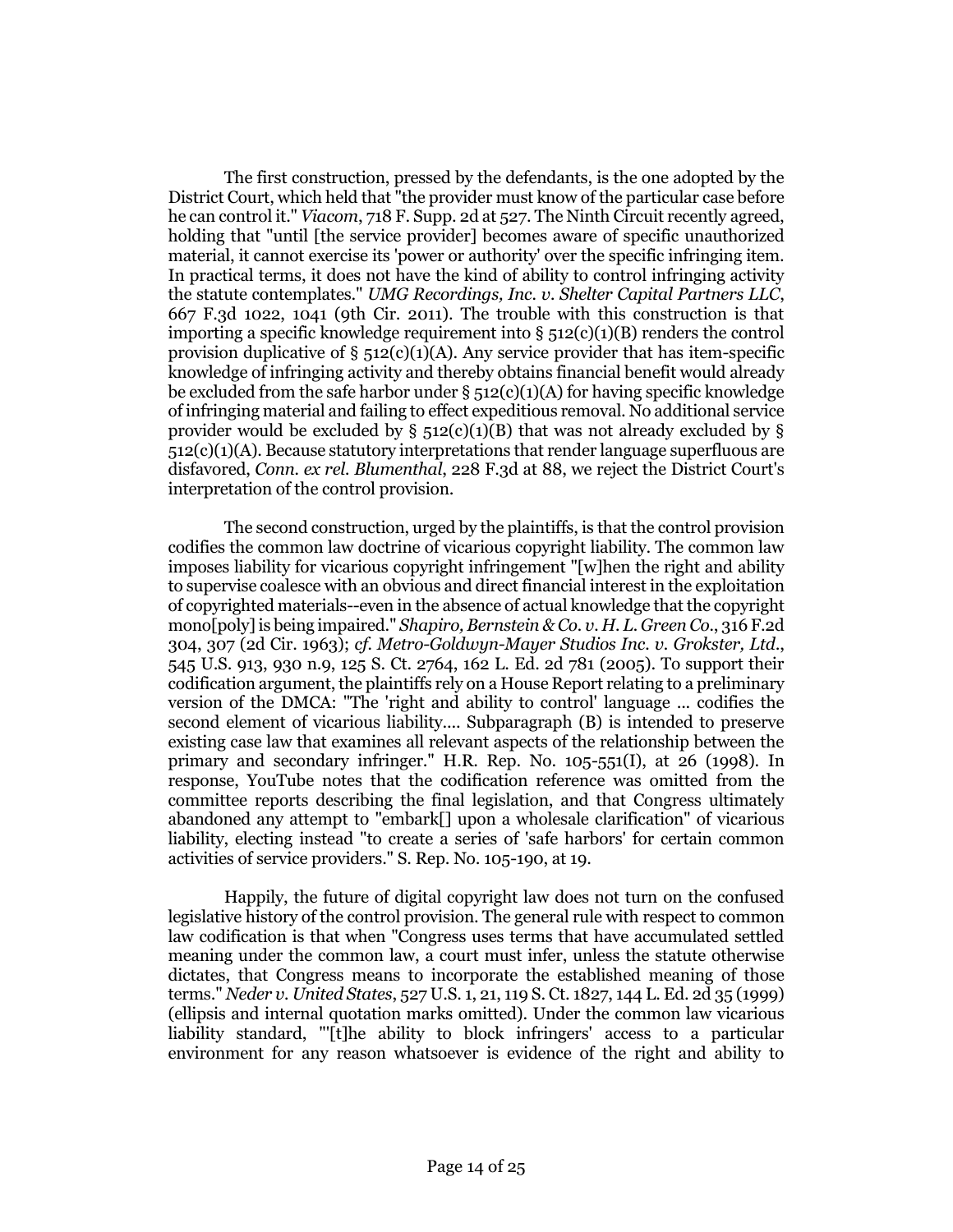The first construction, pressed by the defendants, is the one adopted by the District Court, which held that "the provider must know of the particular case before he can control it." *Viacom*, 718 F. Supp. 2d at 527. The Ninth Circuit recently agreed, holding that "until [the service provider] becomes aware of specific unauthorized material, it cannot exercise its 'power or authority' over the specific infringing item. In practical terms, it does not have the kind of ability to control infringing activity the statute contemplates." *UMG Recordings, Inc. v. Shelter Capital Partners LLC*, 667 F.3d 1022, 1041 (9th Cir. 2011). The trouble with this construction is that importing a specific knowledge requirement into  $\S$  512(c)(1)(B) renders the control provision duplicative of  $\S$  512(c)(1)(A). Any service provider that has item-specific knowledge of infringing activity and thereby obtains financial benefit would already be excluded from the safe harbor under  $\S$  512(c)(1)(A) for having specific knowledge of infringing material and failing to effect expeditious removal. No additional service provider would be excluded by §  $512(c)(1)(B)$  that was not already excluded by §  $512(c)(1)(A)$ . Because statutory interpretations that render language superfluous are disfavored, *Conn. ex rel. Blumenthal*, 228 F.3d at 88, we reject the District Court's interpretation of the control provision.

The second construction, urged by the plaintiffs, is that the control provision codifies the common law doctrine of vicarious copyright liability. The common law imposes liability for vicarious copyright infringement "[w]hen the right and ability to supervise coalesce with an obvious and direct financial interest in the exploitation of copyrighted materials--even in the absence of actual knowledge that the copyright mono[poly] is being impaired." *Shapiro, Bernstein & Co. v. H. L. Green Co.*, 316 F.2d 304, 307 (2d Cir. 1963); *cf. Metro-Goldwyn-Mayer Studios Inc. v. Grokster, Ltd*., 545 U.S. 913, 930 n.9, 125 S. Ct. 2764, 162 L. Ed. 2d 781 (2005). To support their codification argument, the plaintiffs rely on a House Report relating to a preliminary version of the DMCA: "The 'right and ability to control' language ... codifies the second element of vicarious liability.... Subparagraph (B) is intended to preserve existing case law that examines all relevant aspects of the relationship between the primary and secondary infringer." H.R. Rep. No. 105-551(I), at 26 (1998). In response, YouTube notes that the codification reference was omitted from the committee reports describing the final legislation, and that Congress ultimately abandoned any attempt to "embark[] upon a wholesale clarification" of vicarious liability, electing instead "to create a series of 'safe harbors' for certain common activities of service providers." S. Rep. No. 105-190, at 19.

Happily, the future of digital copyright law does not turn on the confused legislative history of the control provision. The general rule with respect to common law codification is that when "Congress uses terms that have accumulated settled meaning under the common law, a court must infer, unless the statute otherwise dictates, that Congress means to incorporate the established meaning of those terms." *Neder v. United States*, 527 U.S. 1, 21, 119 S. Ct. 1827, 144 L. Ed. 2d 35 (1999) (ellipsis and internal quotation marks omitted). Under the common law vicarious liability standard, "'[t]he ability to block infringers' access to a particular environment for any reason whatsoever is evidence of the right and ability to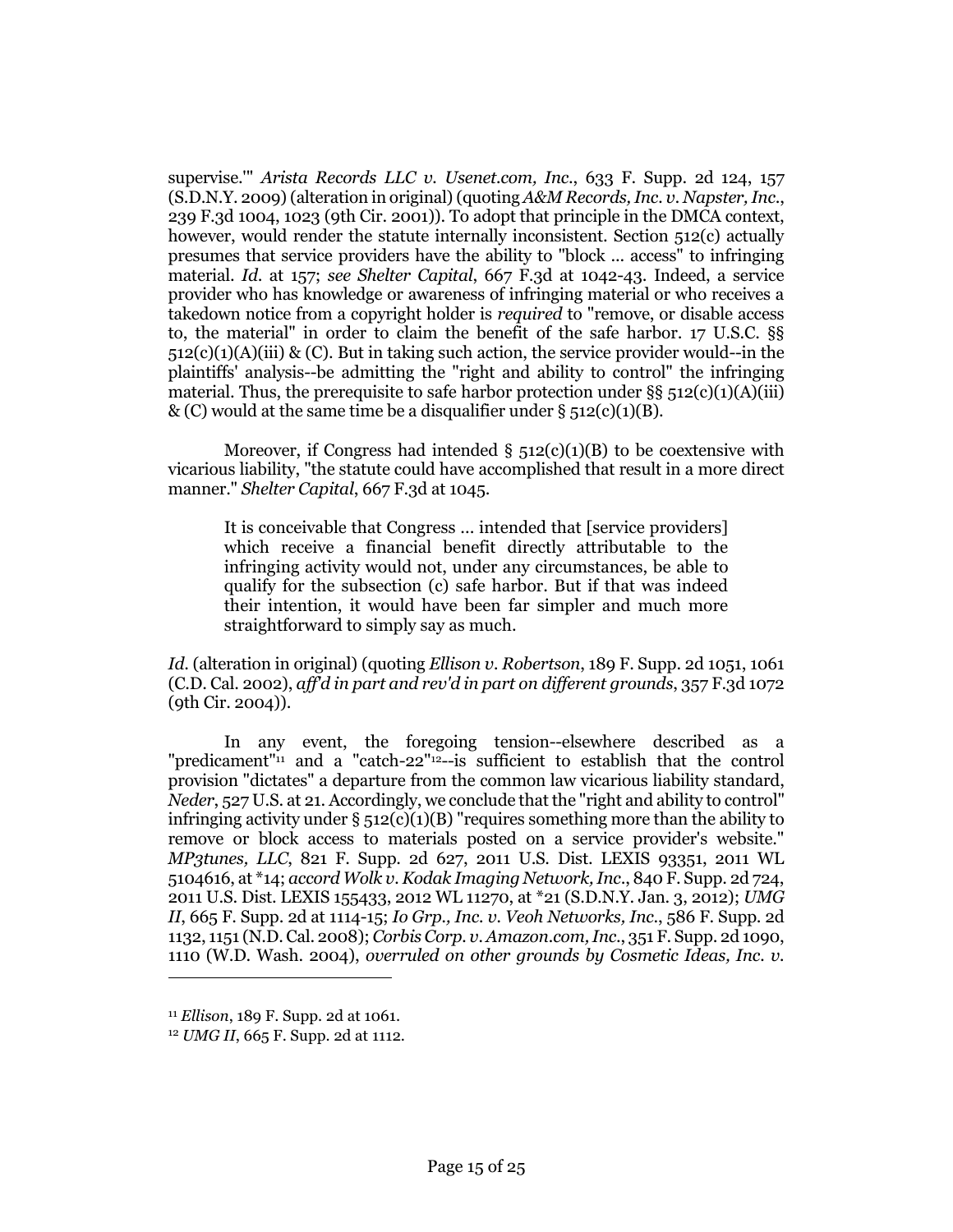supervise.'" *Arista Records LLC v. Usenet.com, Inc*., 633 F. Supp. 2d 124, 157 (S.D.N.Y. 2009) (alteration in original) (quoting *A&M Records, Inc. v. Napster, Inc*., 239 F.3d 1004, 1023 (9th Cir. 2001)). To adopt that principle in the DMCA context, however, would render the statute internally inconsistent. Section 512(c) actually presumes that service providers have the ability to "block ... access" to infringing material. *Id*. at 157; *see Shelter Capital*, 667 F.3d at 1042-43. Indeed, a service provider who has knowledge or awareness of infringing material or who receives a takedown notice from a copyright holder is *required* to "remove, or disable access to, the material" in order to claim the benefit of the safe harbor. 17 U.S.C. §§  $512(c)(1)(A)(iii)$  & (C). But in taking such action, the service provider would--in the plaintiffs' analysis--be admitting the "right and ability to control" the infringing material. Thus, the prerequisite to safe harbor protection under §§  $512(c)(1)(A)(iii)$ & (C) would at the same time be a disqualifier under  $\S$  512(c)(1)(B).

Moreover, if Congress had intended  $\S$  512(c)(1)(B) to be coextensive with vicarious liability, "the statute could have accomplished that result in a more direct manner." *Shelter Capital*, 667 F.3d at 1045.

It is conceivable that Congress ... intended that [service providers] which receive a financial benefit directly attributable to the infringing activity would not, under any circumstances, be able to qualify for the subsection (c) safe harbor. But if that was indeed their intention, it would have been far simpler and much more straightforward to simply say as much.

*Id*. (alteration in original) (quoting *Ellison v. Robertson*, 189 F. Supp. 2d 1051, 1061 (C.D. Cal. 2002), *aff'd in part and rev'd in part on different grounds*, 357 F.3d 1072 (9th Cir. 2004)).

In any event, the foregoing tension--elsewhere described as a "predicament"<sup>11</sup> and a "catch-22"<sup>12</sup>--is sufficient to establish that the control provision "dictates" a departure from the common law vicarious liability standard, *Neder*, 527 U.S. at 21. Accordingly, we conclude that the "right and ability to control" infringing activity under  $\S$  512(c)(1)(B) "requires something more than the ability to remove or block access to materials posted on a service provider's website." *MP3tunes, LLC*, 821 F. Supp. 2d 627, 2011 U.S. Dist. LEXIS 93351, 2011 WL 5104616, at \*14; *accord Wolk v. Kodak Imaging Network, Inc*., 840 F. Supp. 2d 724, 2011 U.S. Dist. LEXIS 155433, 2012 WL 11270, at \*21 (S.D.N.Y. Jan. 3, 2012); *UMG II*, 665 F. Supp. 2d at 1114-15; *Io Grp., Inc. v. Veoh Networks, Inc*., 586 F. Supp. 2d 1132, 1151 (N.D. Cal. 2008); *Corbis Corp. v. Amazon.com, Inc*., 351 F. Supp. 2d 1090, 1110 (W.D. Wash. 2004), *overruled on other grounds by Cosmetic Ideas, Inc. v.* 

<sup>11</sup> *Ellison*, 189 F. Supp. 2d at 1061.

<sup>12</sup> *UMG II*, 665 F. Supp. 2d at 1112.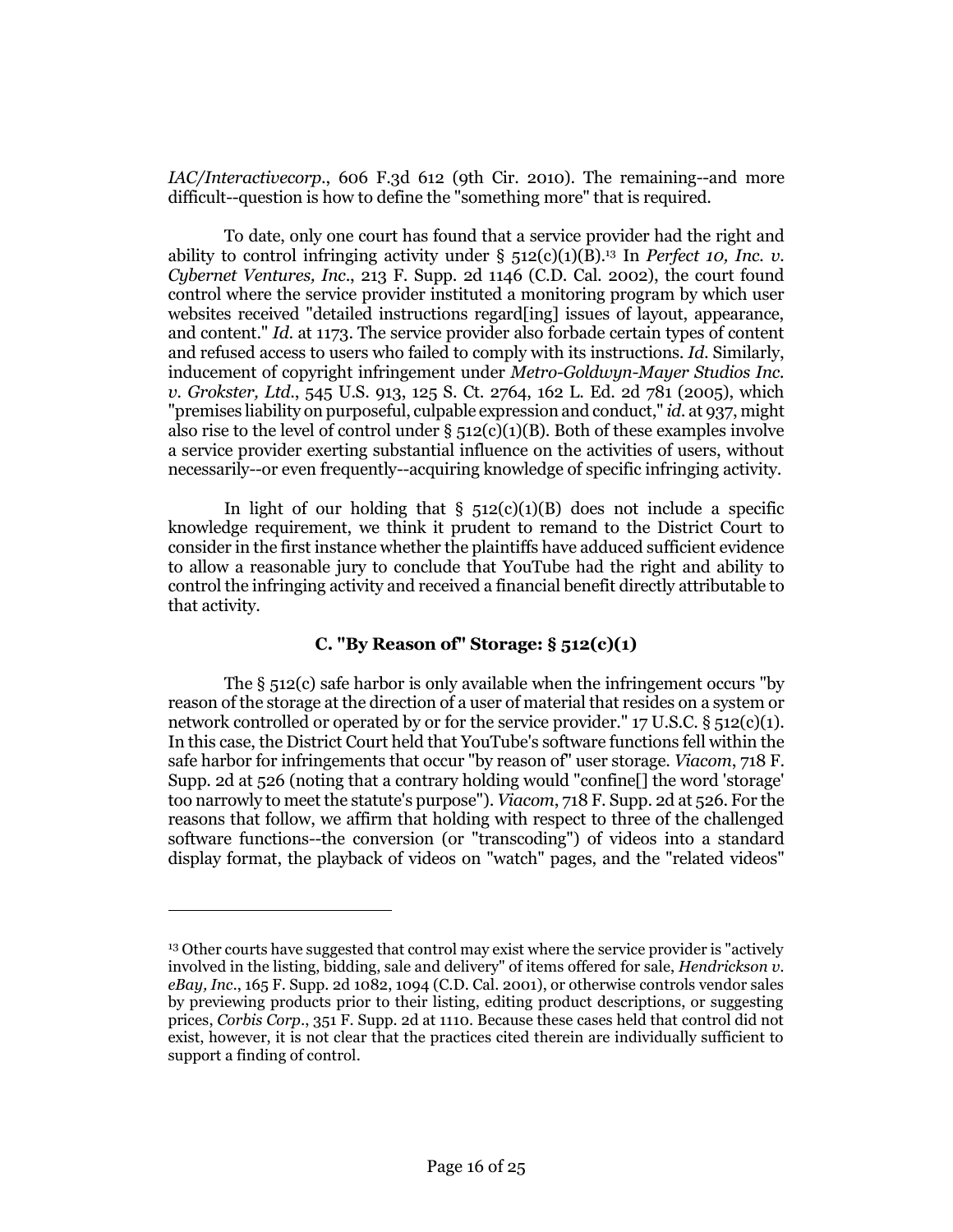*IAC/Interactivecorp*., 606 F.3d 612 (9th Cir. 2010). The remaining--and more difficult--question is how to define the "something more" that is required.

To date, only one court has found that a service provider had the right and ability to control infringing activity under  $\S$  512(c)(1)(B).<sup>13</sup> In *Perfect 10, Inc. v. Cybernet Ventures, Inc*., 213 F. Supp. 2d 1146 (C.D. Cal. 2002), the court found control where the service provider instituted a monitoring program by which user websites received "detailed instructions regard[ing] issues of layout, appearance, and content." *Id*. at 1173. The service provider also forbade certain types of content and refused access to users who failed to comply with its instructions. *Id*. Similarly, inducement of copyright infringement under *Metro-Goldwyn-Mayer Studios Inc. v. Grokster, Ltd*., 545 U.S. 913, 125 S. Ct. 2764, 162 L. Ed. 2d 781 (2005), which "premises liability on purposeful, culpable expression and conduct," *id*. at 937, might also rise to the level of control under  $\S$  512(c)(1)(B). Both of these examples involve a service provider exerting substantial influence on the activities of users, without necessarily--or even frequently--acquiring knowledge of specific infringing activity.

In light of our holding that  $\S$  512(c)(1)(B) does not include a specific knowledge requirement, we think it prudent to remand to the District Court to consider in the first instance whether the plaintiffs have adduced sufficient evidence to allow a reasonable jury to conclude that YouTube had the right and ability to control the infringing activity and received a financial benefit directly attributable to that activity.

## **C. "By Reason of" Storage: § 512(c)(1)**

The § 512(c) safe harbor is only available when the infringement occurs "by reason of the storage at the direction of a user of material that resides on a system or network controlled or operated by or for the service provider."  $17 \text{ U.S.C.}$  §  $512(c)(1)$ . In this case, the District Court held that YouTube's software functions fell within the safe harbor for infringements that occur "by reason of" user storage. *Viacom*, 718 F. Supp. 2d at 526 (noting that a contrary holding would "confine[] the word 'storage' too narrowly to meet the statute's purpose"). *Viacom*, 718 F. Supp. 2d at 526. For the reasons that follow, we affirm that holding with respect to three of the challenged software functions--the conversion (or "transcoding") of videos into a standard display format, the playback of videos on "watch" pages, and the "related videos"

<sup>&</sup>lt;sup>13</sup> Other courts have suggested that control may exist where the service provider is "actively" involved in the listing, bidding, sale and delivery" of items offered for sale, *Hendrickson v. eBay, Inc.*, 165 F. Supp. 2d 1082, 1094 (C.D. Cal. 2001), or otherwise controls vendor sales by previewing products prior to their listing, editing product descriptions, or suggesting prices, *Corbis Corp.*, 351 F. Supp. 2d at 1110. Because these cases held that control did not exist, however, it is not clear that the practices cited therein are individually sufficient to support a finding of control.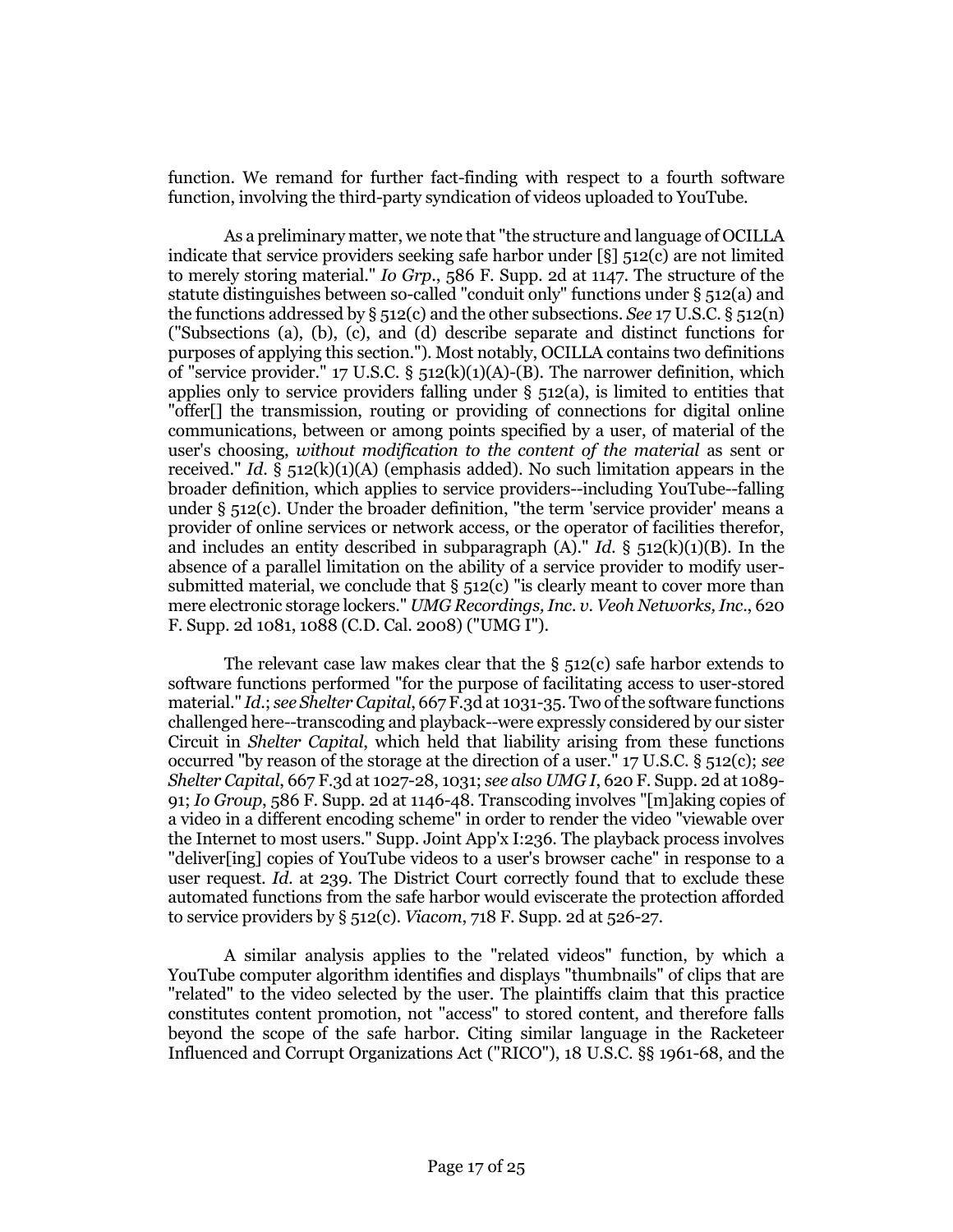function. We remand for further fact-finding with respect to a fourth software function, involving the third-party syndication of videos uploaded to YouTube.

As a preliminary matter, we note that "the structure and language of OCILLA indicate that service providers seeking safe harbor under [§] 512(c) are not limited to merely storing material." *Io Grp*., 586 F. Supp. 2d at 1147. The structure of the statute distinguishes between so-called "conduit only" functions under § 512(a) and the functions addressed by § 512(c) and the other subsections. *See* 17 U.S.C. § 512(n) ("Subsections (a), (b), (c), and (d) describe separate and distinct functions for purposes of applying this section."). Most notably, OCILLA contains two definitions of "service provider." 17 U.S.C. § 512(k)(1)(A)-(B). The narrower definition, which applies only to service providers falling under  $\S$  512(a), is limited to entities that "offer[] the transmission, routing or providing of connections for digital online communications, between or among points specified by a user, of material of the user's choosing, *without modification to the content of the material* as sent or received." *Id*. § 512(k)(1)(A) (emphasis added). No such limitation appears in the broader definition, which applies to service providers--including YouTube--falling under § 512(c). Under the broader definition, "the term 'service provider' means a provider of online services or network access, or the operator of facilities therefor, and includes an entity described in subparagraph (A)." *Id*. § 512(k)(1)(B). In the absence of a parallel limitation on the ability of a service provider to modify usersubmitted material, we conclude that  $\S$  512(c) "is clearly meant to cover more than mere electronic storage lockers." *UMG Recordings, Inc. v. Veoh Networks, Inc*., 620 F. Supp. 2d 1081, 1088 (C.D. Cal. 2008) ("UMG I").

The relevant case law makes clear that the  $\S$  512(c) safe harbor extends to software functions performed "for the purpose of facilitating access to user-stored material." *Id*.; *see Shelter Capital*, 667 F.3d at 1031-35. Two of the software functions challenged here--transcoding and playback--were expressly considered by our sister Circuit in *Shelter Capital*, which held that liability arising from these functions occurred "by reason of the storage at the direction of a user." 17 U.S.C. § 512(c); *see Shelter Capital*, 667 F.3d at 1027-28, 1031; *see also UMG I*, 620 F. Supp. 2d at 1089- 91; *Io Group*, 586 F. Supp. 2d at 1146-48. Transcoding involves "[m]aking copies of a video in a different encoding scheme" in order to render the video "viewable over the Internet to most users." Supp. Joint App'x I:236. The playback process involves "deliver[ing] copies of YouTube videos to a user's browser cache" in response to a user request. *Id*. at 239. The District Court correctly found that to exclude these automated functions from the safe harbor would eviscerate the protection afforded to service providers by § 512(c). *Viacom*, 718 F. Supp. 2d at 526-27.

A similar analysis applies to the "related videos" function, by which a YouTube computer algorithm identifies and displays "thumbnails" of clips that are "related" to the video selected by the user. The plaintiffs claim that this practice constitutes content promotion, not "access" to stored content, and therefore falls beyond the scope of the safe harbor. Citing similar language in the Racketeer Influenced and Corrupt Organizations Act ("RICO"), 18 U.S.C. §§ 1961-68, and the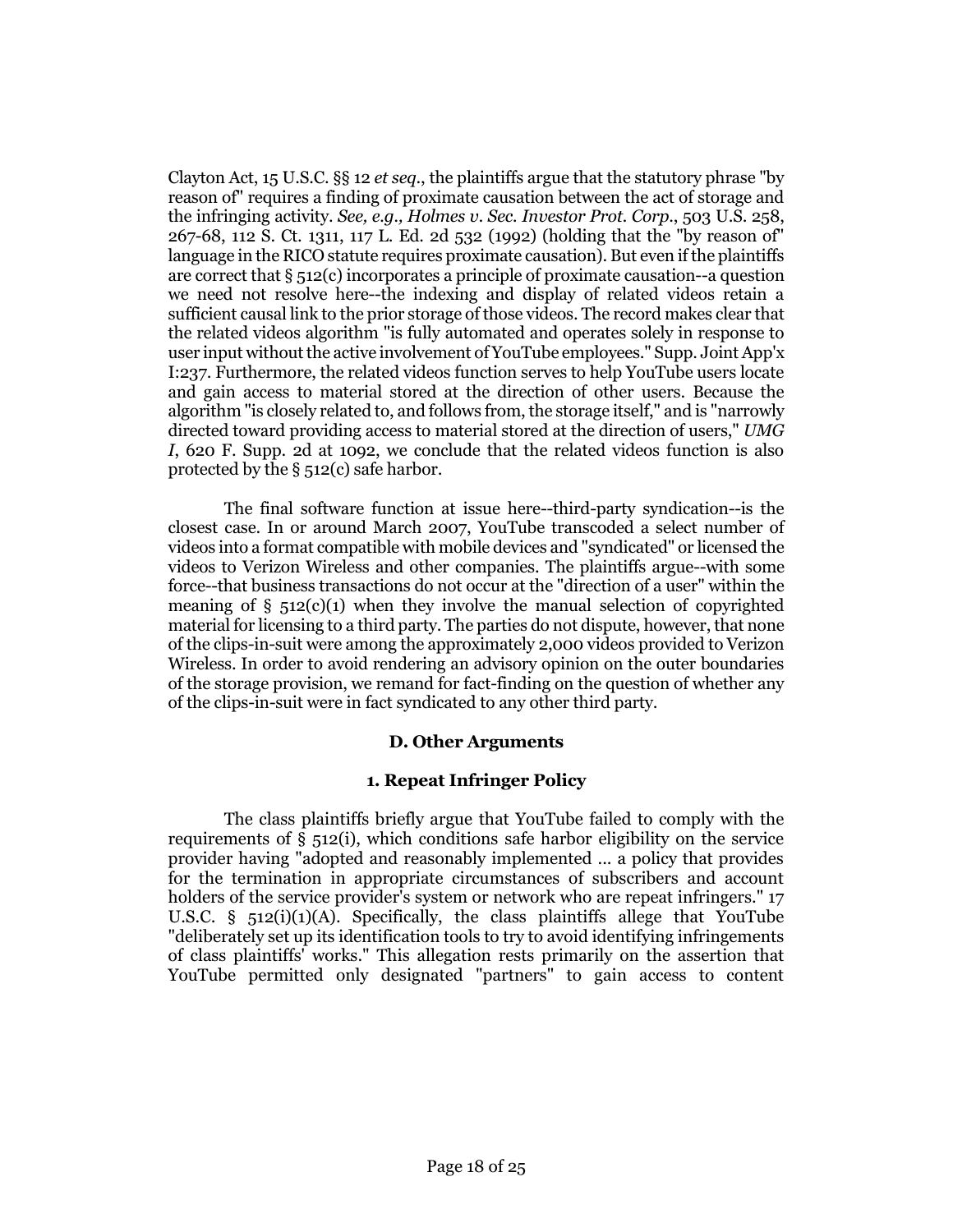Clayton Act, 15 U.S.C. §§ 12 *et seq*., the plaintiffs argue that the statutory phrase "by reason of" requires a finding of proximate causation between the act of storage and the infringing activity. *See, e.g., Holmes v. Sec. Investor Prot. Corp*., 503 U.S. 258, 267-68, 112 S. Ct. 1311, 117 L. Ed. 2d 532 (1992) (holding that the "by reason of" language in the RICO statute requires proximate causation). But even if the plaintiffs are correct that § 512(c) incorporates a principle of proximate causation--a question we need not resolve here--the indexing and display of related videos retain a sufficient causal link to the prior storage of those videos. The record makes clear that the related videos algorithm "is fully automated and operates solely in response to user input without the active involvement of YouTube employees." Supp. Joint App'x I:237. Furthermore, the related videos function serves to help YouTube users locate and gain access to material stored at the direction of other users. Because the algorithm "is closely related to, and follows from, the storage itself," and is "narrowly directed toward providing access to material stored at the direction of users," *UMG I*, 620 F. Supp. 2d at 1092, we conclude that the related videos function is also protected by the § 512(c) safe harbor.

The final software function at issue here--third-party syndication--is the closest case. In or around March 2007, YouTube transcoded a select number of videos into a format compatible with mobile devices and "syndicated" or licensed the videos to Verizon Wireless and other companies. The plaintiffs argue--with some force--that business transactions do not occur at the "direction of a user" within the meaning of  $\S$  512(c)(1) when they involve the manual selection of copyrighted material for licensing to a third party. The parties do not dispute, however, that none of the clips-in-suit were among the approximately 2,000 videos provided to Verizon Wireless. In order to avoid rendering an advisory opinion on the outer boundaries of the storage provision, we remand for fact-finding on the question of whether any of the clips-in-suit were in fact syndicated to any other third party.

## **D. Other Arguments**

## **1. Repeat Infringer Policy**

The class plaintiffs briefly argue that YouTube failed to comply with the requirements of § 512(i), which conditions safe harbor eligibility on the service provider having "adopted and reasonably implemented ... a policy that provides for the termination in appropriate circumstances of subscribers and account holders of the service provider's system or network who are repeat infringers." 17 U.S.C. §  $512(i)(1)(A)$ . Specifically, the class plaintiffs allege that YouTube "deliberately set up its identification tools to try to avoid identifying infringements of class plaintiffs' works." This allegation rests primarily on the assertion that YouTube permitted only designated "partners" to gain access to content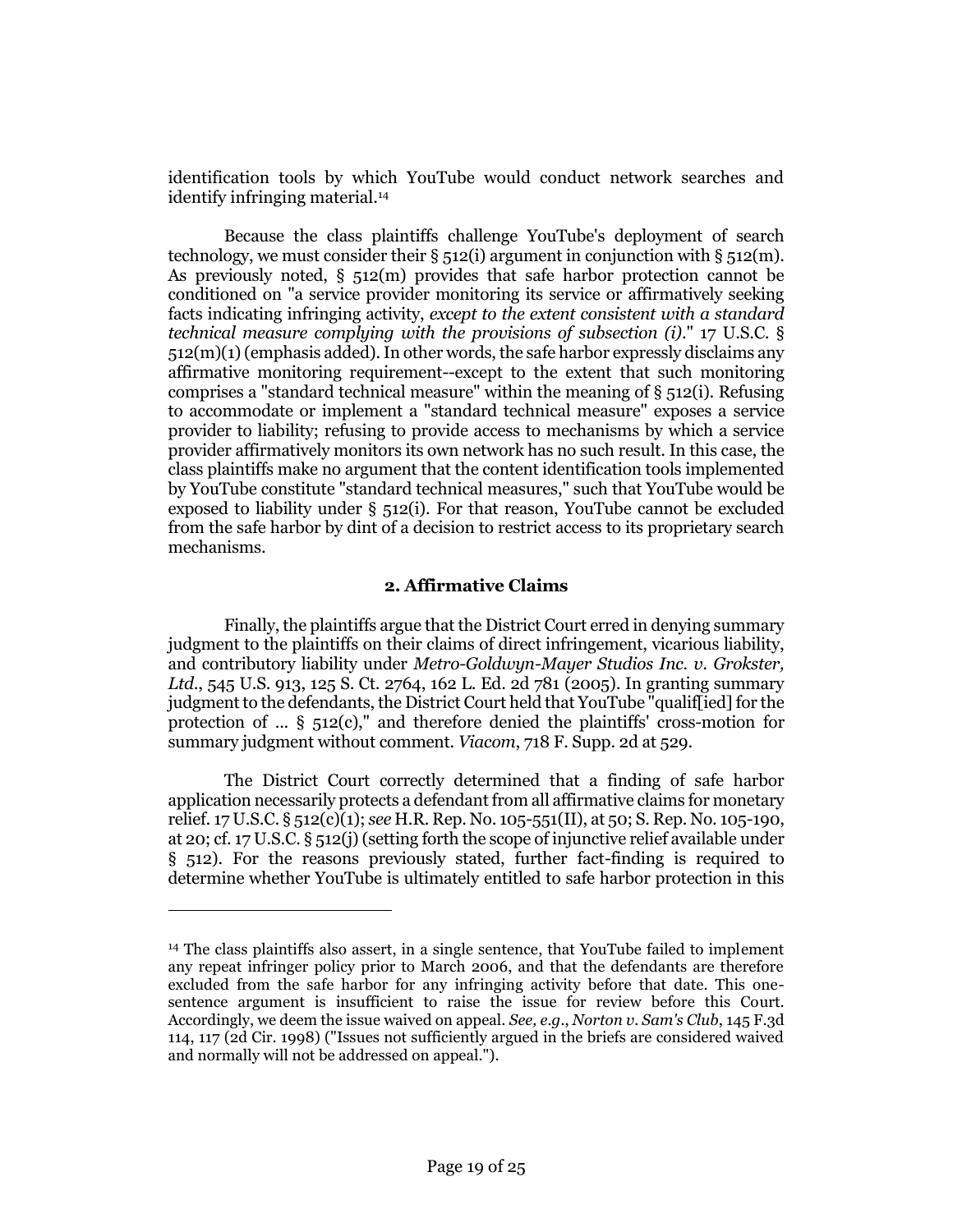identification tools by which YouTube would conduct network searches and identify infringing material.<sup>14</sup>

Because the class plaintiffs challenge YouTube's deployment of search technology, we must consider their § 512(i) argument in conjunction with § 512(m). As previously noted, § 512(m) provides that safe harbor protection cannot be conditioned on "a service provider monitoring its service or affirmatively seeking facts indicating infringing activity, *except to the extent consistent with a standard technical measure complying with the provisions of subsection (i)*." 17 U.S.C. § 512(m)(1) (emphasis added). In other words, the safe harbor expressly disclaims any affirmative monitoring requirement--except to the extent that such monitoring comprises a "standard technical measure" within the meaning of § 512(i). Refusing to accommodate or implement a "standard technical measure" exposes a service provider to liability; refusing to provide access to mechanisms by which a service provider affirmatively monitors its own network has no such result. In this case, the class plaintiffs make no argument that the content identification tools implemented by YouTube constitute "standard technical measures," such that YouTube would be exposed to liability under § 512(i). For that reason, YouTube cannot be excluded from the safe harbor by dint of a decision to restrict access to its proprietary search mechanisms.

## **2. Affirmative Claims**

Finally, the plaintiffs argue that the District Court erred in denying summary judgment to the plaintiffs on their claims of direct infringement, vicarious liability, and contributory liability under *Metro-Goldwyn-Mayer Studios Inc. v. Grokster, Ltd*., 545 U.S. 913, 125 S. Ct. 2764, 162 L. Ed. 2d 781 (2005). In granting summary judgment to the defendants, the District Court held that YouTube "qualif[ied] for the protection of ... § 512(c)," and therefore denied the plaintiffs' cross-motion for summary judgment without comment. *Viacom*, 718 F. Supp. 2d at 529.

The District Court correctly determined that a finding of safe harbor application necessarily protects a defendant from all affirmative claims for monetary relief. 17 U.S.C. § 512(c)(1); *see* H.R. Rep. No. 105-551(II), at 50; S. Rep. No. 105-190, at 20; cf. 17 U.S.C. § 512(j) (setting forth the scope of injunctive relief available under § 512). For the reasons previously stated, further fact-finding is required to determine whether YouTube is ultimately entitled to safe harbor protection in this

<sup>14</sup> The class plaintiffs also assert, in a single sentence, that YouTube failed to implement any repeat infringer policy prior to March 2006, and that the defendants are therefore excluded from the safe harbor for any infringing activity before that date. This onesentence argument is insufficient to raise the issue for review before this Court. Accordingly, we deem the issue waived on appeal. *See, e.g.*, *Norton v. Sam's Club*, 145 F.3d 114, 117 (2d Cir. 1998) ("Issues not sufficiently argued in the briefs are considered waived and normally will not be addressed on appeal.").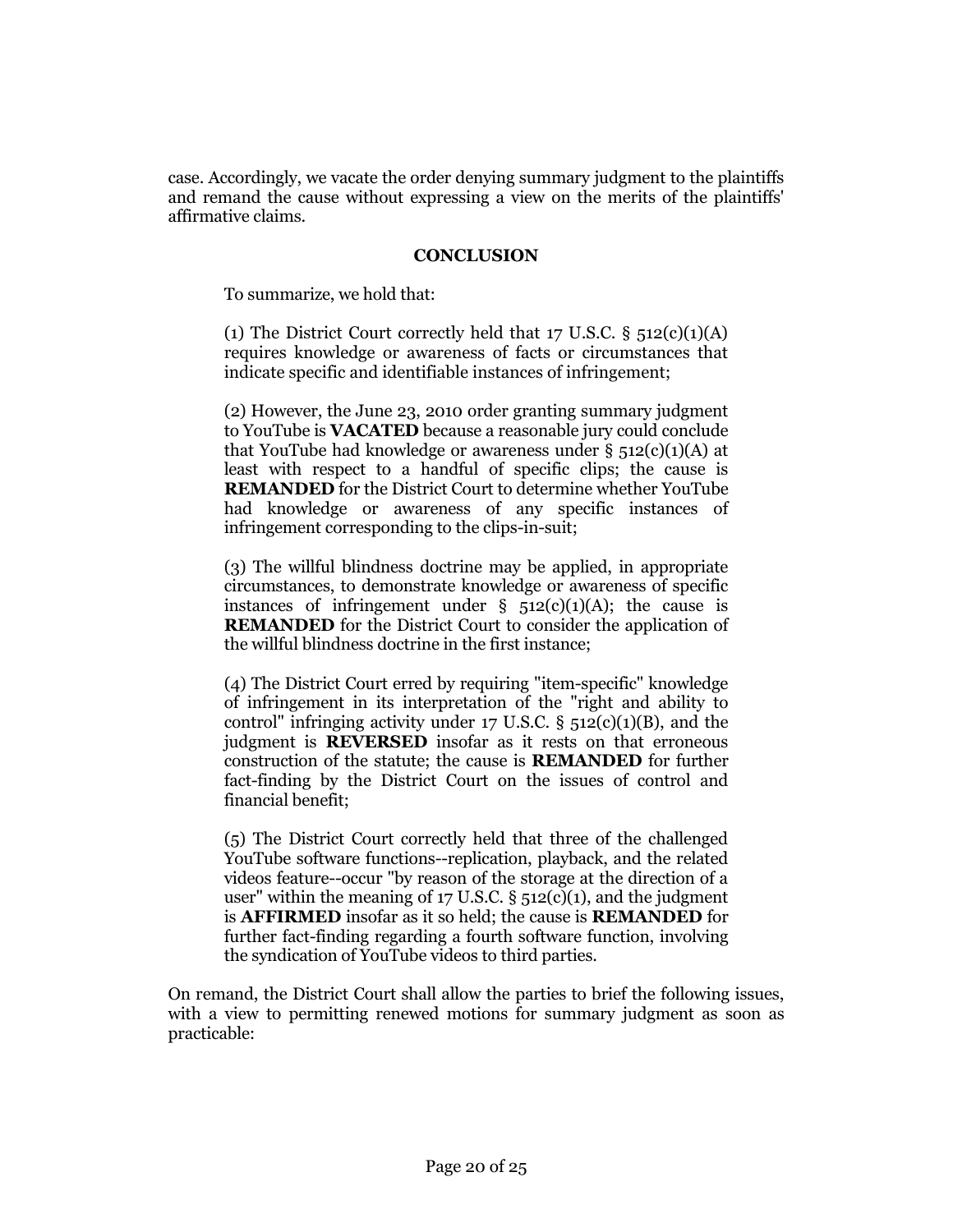case. Accordingly, we vacate the order denying summary judgment to the plaintiffs and remand the cause without expressing a view on the merits of the plaintiffs' affirmative claims.

#### **CONCLUSION**

To summarize, we hold that:

(1) The District Court correctly held that  $17 \text{ U.S.C. }$  §  $512(c)(1)(A)$ requires knowledge or awareness of facts or circumstances that indicate specific and identifiable instances of infringement;

(2) However, the June 23, 2010 order granting summary judgment to YouTube is **VACATED** because a reasonable jury could conclude that YouTube had knowledge or awareness under  $\S$  512(c)(1)(A) at least with respect to a handful of specific clips; the cause is **REMANDED** for the District Court to determine whether YouTube had knowledge or awareness of any specific instances of infringement corresponding to the clips-in-suit;

(3) The willful blindness doctrine may be applied, in appropriate circumstances, to demonstrate knowledge or awareness of specific instances of infringement under  $\S$  512(c)(1)(A); the cause is **REMANDED** for the District Court to consider the application of the willful blindness doctrine in the first instance;

(4) The District Court erred by requiring "item-specific" knowledge of infringement in its interpretation of the "right and ability to control" infringing activity under  $17 \text{ U.S.C. }$  §  $512(c)(1)(B)$ , and the judgment is **REVERSED** insofar as it rests on that erroneous construction of the statute; the cause is **REMANDED** for further fact-finding by the District Court on the issues of control and financial benefit;

(5) The District Court correctly held that three of the challenged YouTube software functions--replication, playback, and the related videos feature--occur "by reason of the storage at the direction of a user" within the meaning of  $17 \text{ U.S.C. }$  §  $512(c)(1)$ , and the judgment is **AFFIRMED** insofar as it so held; the cause is **REMANDED** for further fact-finding regarding a fourth software function, involving the syndication of YouTube videos to third parties.

On remand, the District Court shall allow the parties to brief the following issues, with a view to permitting renewed motions for summary judgment as soon as practicable: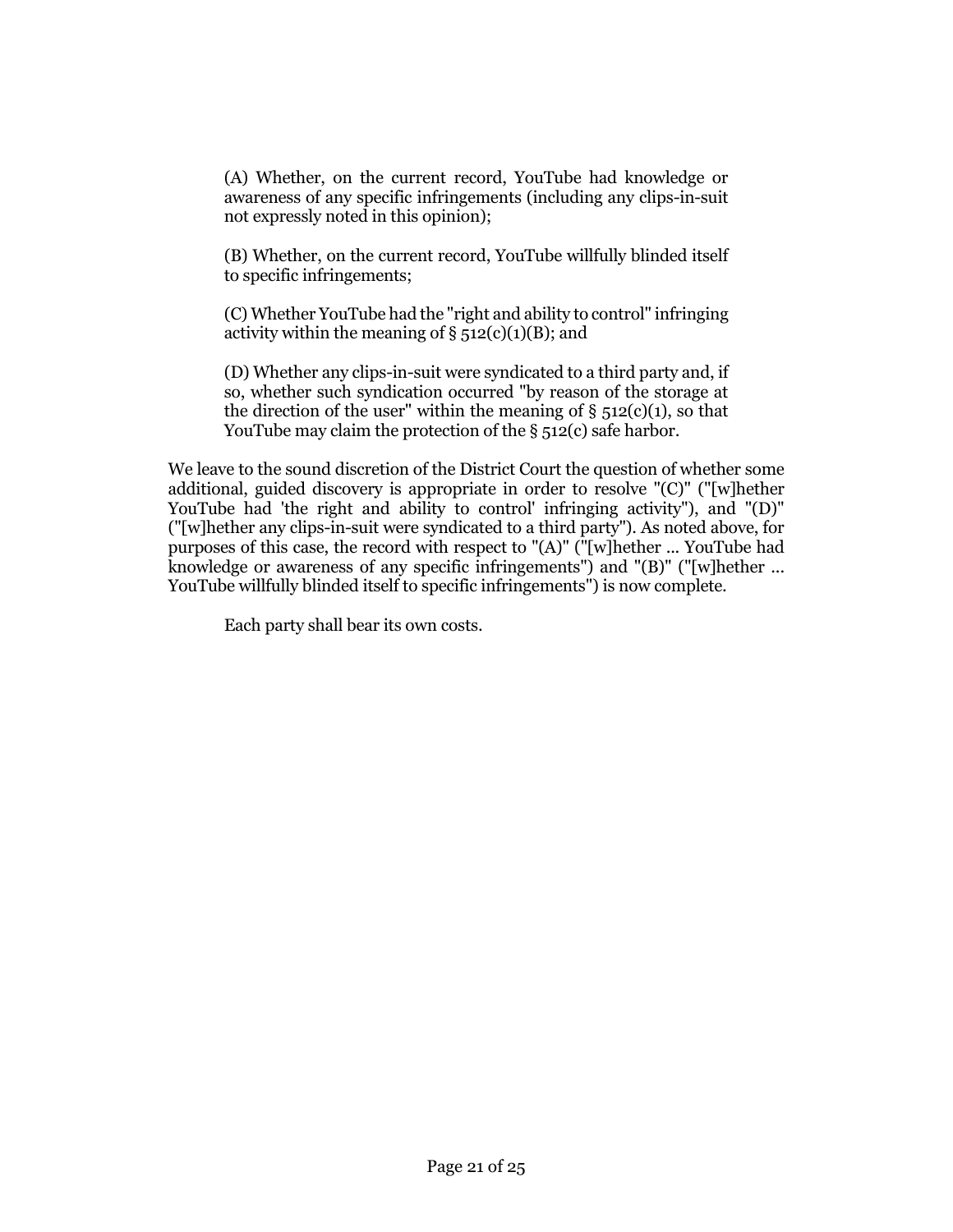(A) Whether, on the current record, YouTube had knowledge or awareness of any specific infringements (including any clips-in-suit not expressly noted in this opinion);

(B) Whether, on the current record, YouTube willfully blinded itself to specific infringements;

(C) Whether YouTube had the "right and ability to control" infringing activity within the meaning of  $\S$  512(c)(1)(B); and

(D) Whether any clips-in-suit were syndicated to a third party and, if so, whether such syndication occurred "by reason of the storage at the direction of the user" within the meaning of  $\S$  512(c)(1), so that YouTube may claim the protection of the § 512(c) safe harbor.

We leave to the sound discretion of the District Court the question of whether some additional, guided discovery is appropriate in order to resolve "(C)" ("[w]hether YouTube had 'the right and ability to control' infringing activity"), and "(D)" ("[w]hether any clips-in-suit were syndicated to a third party"). As noted above, for purposes of this case, the record with respect to "(A)" ("[w]hether ... YouTube had knowledge or awareness of any specific infringements") and "(B)" ("[w]hether ... YouTube willfully blinded itself to specific infringements") is now complete.

Each party shall bear its own costs.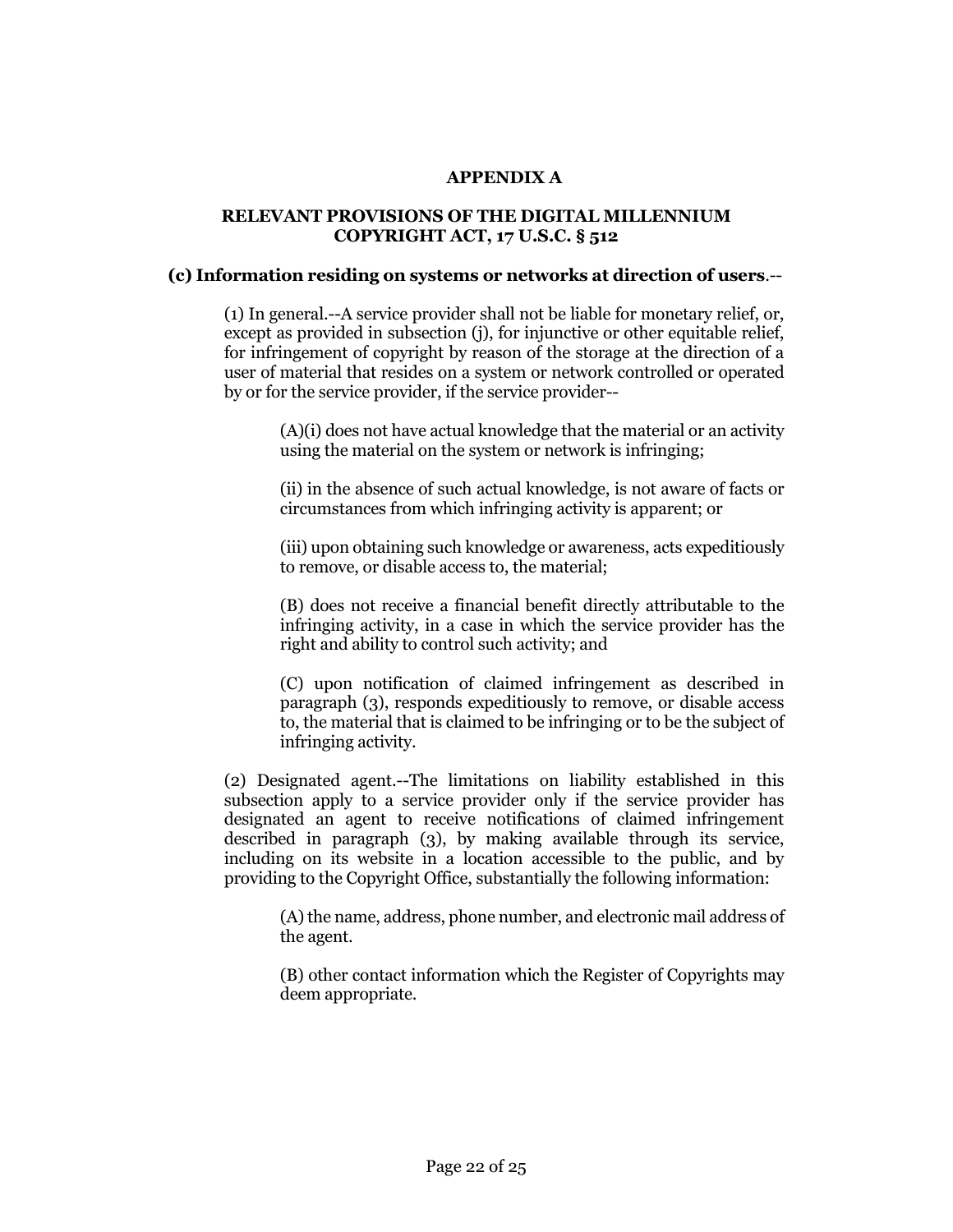## **APPENDIX A**

## **RELEVANT PROVISIONS OF THE DIGITAL MILLENNIUM COPYRIGHT ACT, 17 U.S.C. § 512**

#### **(c) Information residing on systems or networks at direction of users**.--

(1) In general.--A service provider shall not be liable for monetary relief, or, except as provided in subsection (j), for injunctive or other equitable relief, for infringement of copyright by reason of the storage at the direction of a user of material that resides on a system or network controlled or operated by or for the service provider, if the service provider--

(A)(i) does not have actual knowledge that the material or an activity using the material on the system or network is infringing;

(ii) in the absence of such actual knowledge, is not aware of facts or circumstances from which infringing activity is apparent; or

(iii) upon obtaining such knowledge or awareness, acts expeditiously to remove, or disable access to, the material;

(B) does not receive a financial benefit directly attributable to the infringing activity, in a case in which the service provider has the right and ability to control such activity; and

(C) upon notification of claimed infringement as described in paragraph (3), responds expeditiously to remove, or disable access to, the material that is claimed to be infringing or to be the subject of infringing activity.

(2) Designated agent.--The limitations on liability established in this subsection apply to a service provider only if the service provider has designated an agent to receive notifications of claimed infringement described in paragraph (3), by making available through its service, including on its website in a location accessible to the public, and by providing to the Copyright Office, substantially the following information:

(A) the name, address, phone number, and electronic mail address of the agent.

(B) other contact information which the Register of Copyrights may deem appropriate.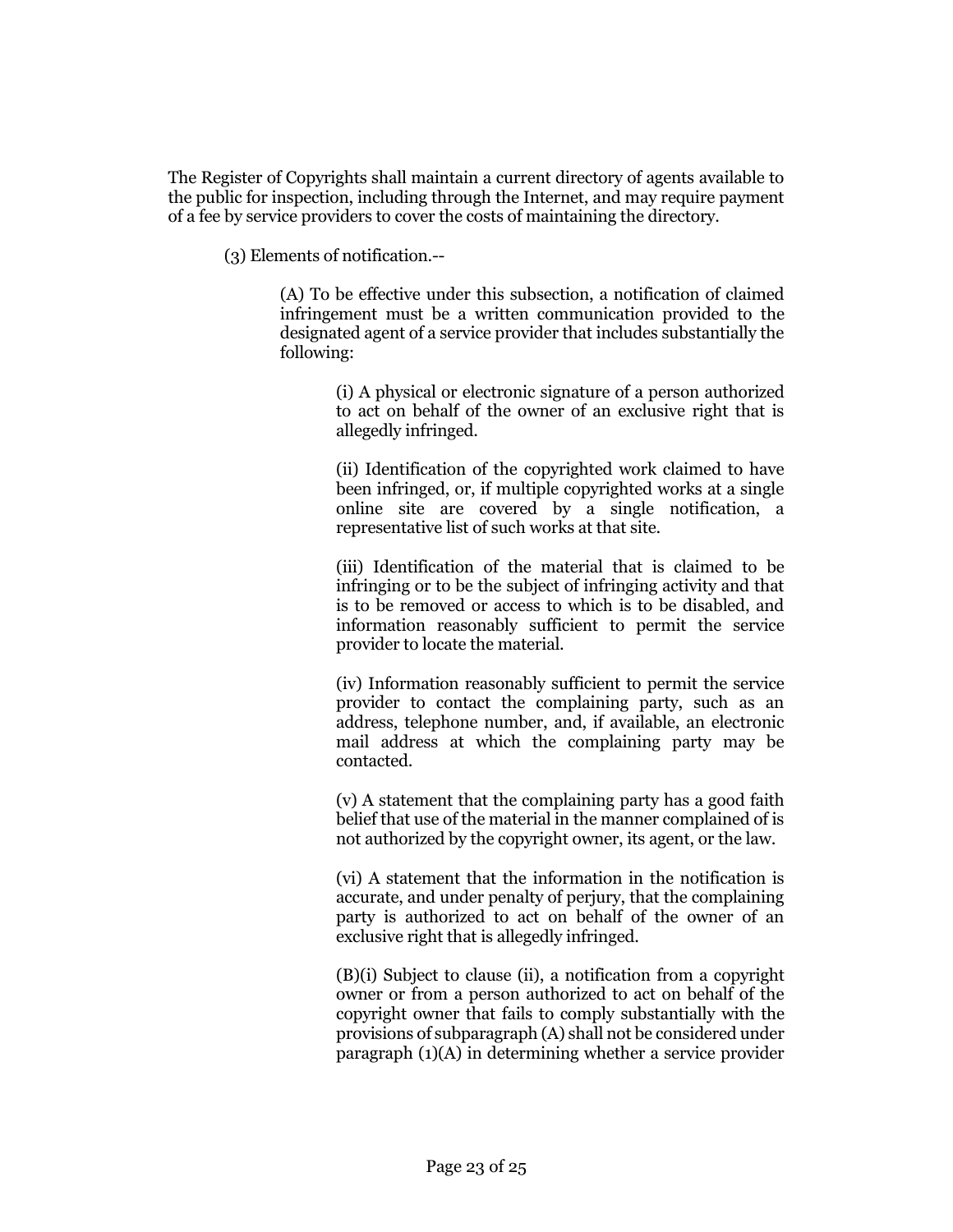The Register of Copyrights shall maintain a current directory of agents available to the public for inspection, including through the Internet, and may require payment of a fee by service providers to cover the costs of maintaining the directory.

(3) Elements of notification.--

(A) To be effective under this subsection, a notification of claimed infringement must be a written communication provided to the designated agent of a service provider that includes substantially the following:

> (i) A physical or electronic signature of a person authorized to act on behalf of the owner of an exclusive right that is allegedly infringed.

> (ii) Identification of the copyrighted work claimed to have been infringed, or, if multiple copyrighted works at a single online site are covered by a single notification, a representative list of such works at that site.

> (iii) Identification of the material that is claimed to be infringing or to be the subject of infringing activity and that is to be removed or access to which is to be disabled, and information reasonably sufficient to permit the service provider to locate the material.

> (iv) Information reasonably sufficient to permit the service provider to contact the complaining party, such as an address, telephone number, and, if available, an electronic mail address at which the complaining party may be contacted.

> (v) A statement that the complaining party has a good faith belief that use of the material in the manner complained of is not authorized by the copyright owner, its agent, or the law.

> (vi) A statement that the information in the notification is accurate, and under penalty of perjury, that the complaining party is authorized to act on behalf of the owner of an exclusive right that is allegedly infringed.

> (B)(i) Subject to clause (ii), a notification from a copyright owner or from a person authorized to act on behalf of the copyright owner that fails to comply substantially with the provisions of subparagraph (A) shall not be considered under paragraph (1)(A) in determining whether a service provider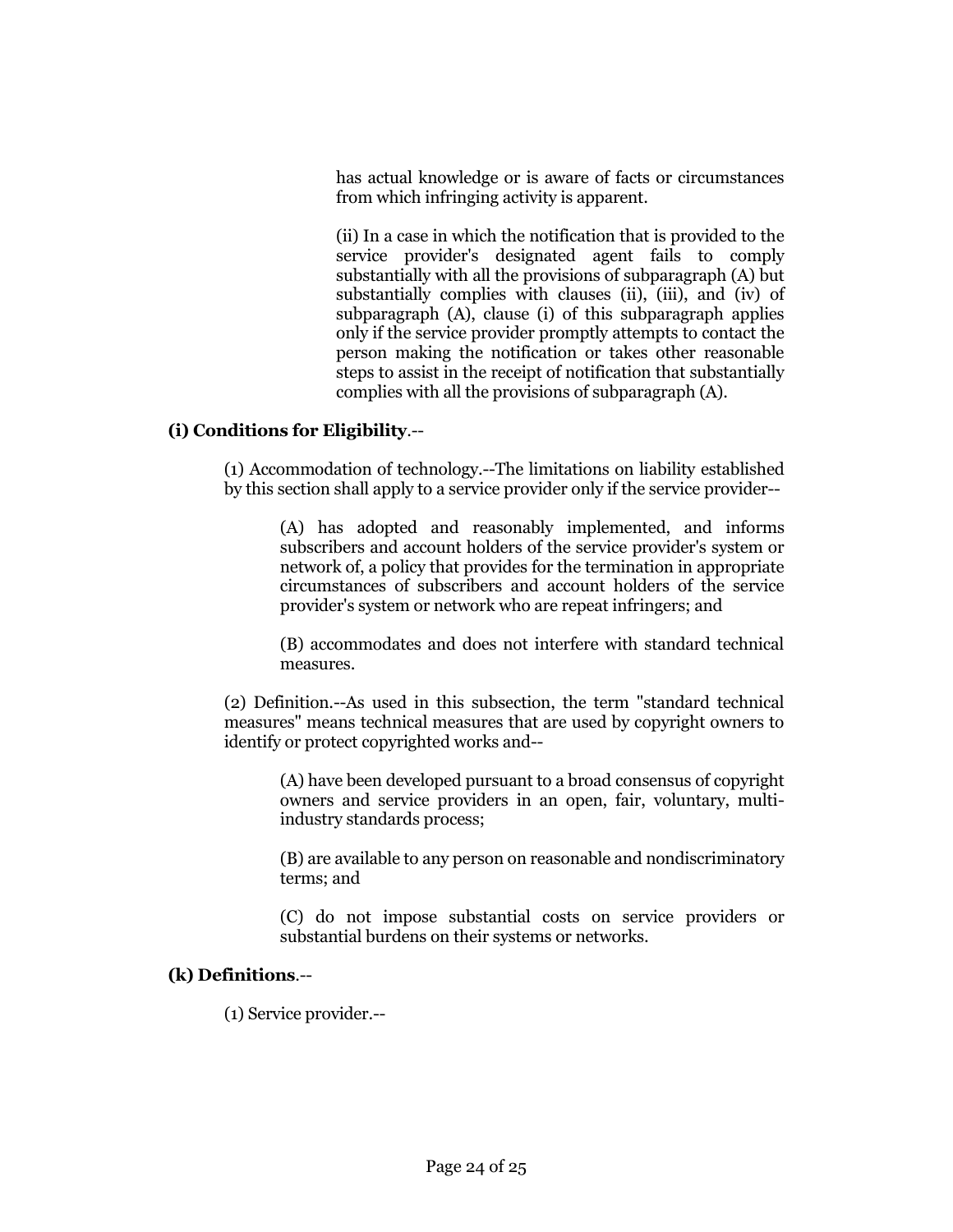has actual knowledge or is aware of facts or circumstances from which infringing activity is apparent.

(ii) In a case in which the notification that is provided to the service provider's designated agent fails to comply substantially with all the provisions of subparagraph (A) but substantially complies with clauses (ii), (iii), and (iv) of subparagraph (A), clause (i) of this subparagraph applies only if the service provider promptly attempts to contact the person making the notification or takes other reasonable steps to assist in the receipt of notification that substantially complies with all the provisions of subparagraph (A).

## **(i) Conditions for Eligibility**.--

(1) Accommodation of technology.--The limitations on liability established by this section shall apply to a service provider only if the service provider--

(A) has adopted and reasonably implemented, and informs subscribers and account holders of the service provider's system or network of, a policy that provides for the termination in appropriate circumstances of subscribers and account holders of the service provider's system or network who are repeat infringers; and

(B) accommodates and does not interfere with standard technical measures.

(2) Definition.--As used in this subsection, the term "standard technical measures" means technical measures that are used by copyright owners to identify or protect copyrighted works and--

(A) have been developed pursuant to a broad consensus of copyright owners and service providers in an open, fair, voluntary, multiindustry standards process;

(B) are available to any person on reasonable and nondiscriminatory terms; and

(C) do not impose substantial costs on service providers or substantial burdens on their systems or networks.

## **(k) Definitions**.--

(1) Service provider.--